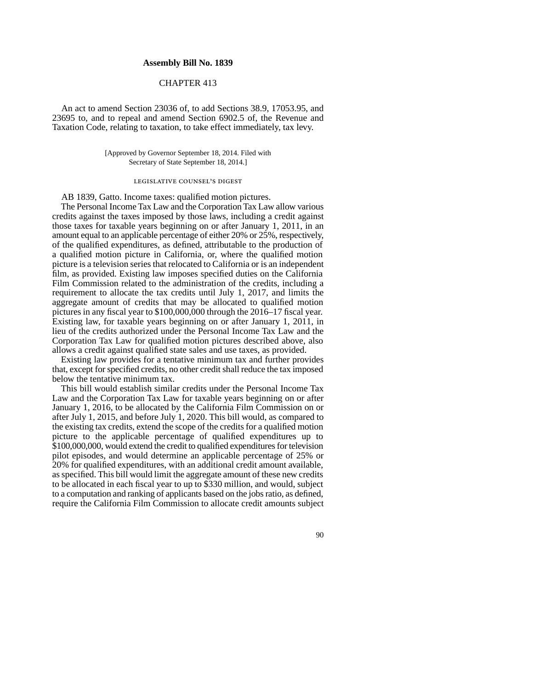## **Assembly Bill No. 1839**

## CHAPTER 413

An act to amend Section 23036 of, to add Sections 38.9, 17053.95, and 23695 to, and to repeal and amend Section 6902.5 of, the Revenue and Taxation Code, relating to taxation, to take effect immediately, tax levy.

> [Approved by Governor September 18, 2014. Filed with Secretary of State September 18, 2014.]

## legislative counsel' s digest

AB 1839, Gatto. Income taxes: qualified motion pictures.

The Personal Income Tax Law and the Corporation Tax Law allow various credits against the taxes imposed by those laws, including a credit against those taxes for taxable years beginning on or after January 1, 2011, in an amount equal to an applicable percentage of either 20% or 25%, respectively, of the qualified expenditures, as defined, attributable to the production of a qualified motion picture in California, or, where the qualified motion picture is a television series that relocated to California or is an independent film, as provided. Existing law imposes specified duties on the California Film Commission related to the administration of the credits, including a requirement to allocate the tax credits until July 1, 2017, and limits the aggregate amount of credits that may be allocated to qualified motion pictures in any fiscal year to \$100,000,000 through the 2016–17 fiscal year. Existing law, for taxable years beginning on or after January 1, 2011, in lieu of the credits authorized under the Personal Income Tax Law and the Corporation Tax Law for qualified motion pictures described above, also allows a credit against qualified state sales and use taxes, as provided.

Existing law provides for a tentative minimum tax and further provides that, except for specified credits, no other credit shall reduce the tax imposed below the tentative minimum tax.

This bill would establish similar credits under the Personal Income Tax Law and the Corporation Tax Law for taxable years beginning on or after January 1, 2016, to be allocated by the California Film Commission on or after July 1, 2015, and before July 1, 2020. This bill would, as compared to the existing tax credits, extend the scope of the credits for a qualified motion picture to the applicable percentage of qualified expenditures up to \$100,000,000, would extend the credit to qualified expenditures for television pilot episodes, and would determine an applicable percentage of 25% or 20% for qualified expenditures, with an additional credit amount available, as specified. This bill would limit the aggregate amount of these new credits to be allocated in each fiscal year to up to \$330 million, and would, subject to a computation and ranking of applicants based on the jobs ratio, as defined, require the California Film Commission to allocate credit amounts subject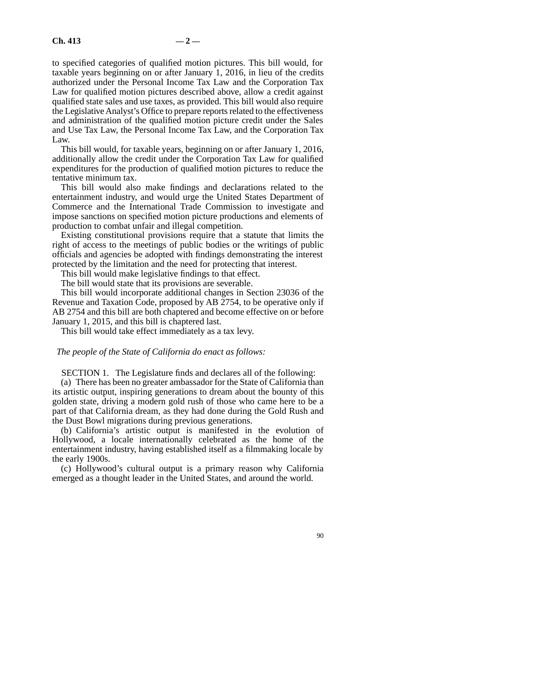to specified categories of qualified motion pictures. This bill would, for taxable years beginning on or after January 1, 2016, in lieu of the credits authorized under the Personal Income Tax Law and the Corporation Tax Law for qualified motion pictures described above, allow a credit against qualified state sales and use taxes, as provided. This bill would also require the Legislative Analyst's Office to prepare reports related to the effectiveness and administration of the qualified motion picture credit under the Sales and Use Tax Law, the Personal Income Tax Law, and the Corporation Tax Law.

This bill would, for taxable years, beginning on or after January 1, 2016, additionally allow the credit under the Corporation Tax Law for qualified expenditures for the production of qualified motion pictures to reduce the tentative minimum tax.

This bill would also make findings and declarations related to the entertainment industry, and would urge the United States Department of Commerce and the International Trade Commission to investigate and impose sanctions on specified motion picture productions and elements of production to combat unfair and illegal competition.

Existing constitutional provisions require that a statute that limits the right of access to the meetings of public bodies or the writings of public officials and agencies be adopted with findings demonstrating the interest protected by the limitation and the need for protecting that interest.

This bill would make legislative findings to that effect.

The bill would state that its provisions are severable.

This bill would incorporate additional changes in Section 23036 of the Revenue and Taxation Code, proposed by AB 2754, to be operative only if AB 2754 and this bill are both chaptered and become effective on or before January 1, 2015, and this bill is chaptered last.

This bill would take effect immediately as a tax levy.

## *The people of the State of California do enact as follows:*

SECTION 1. The Legislature finds and declares all of the following:

(a) There has been no greater ambassador for the State of California than its artistic output, inspiring generations to dream about the bounty of this golden state, driving a modern gold rush of those who came here to be a part of that California dream, as they had done during the Gold Rush and the Dust Bowl migrations during previous generations.

(b) California's artistic output is manifested in the evolution of Hollywood, a locale internationally celebrated as the home of the entertainment industry, having established itself as a filmmaking locale by the early 1900s.

(c) Hollywood's cultural output is a primary reason why California emerged as a thought leader in the United States, and around the world.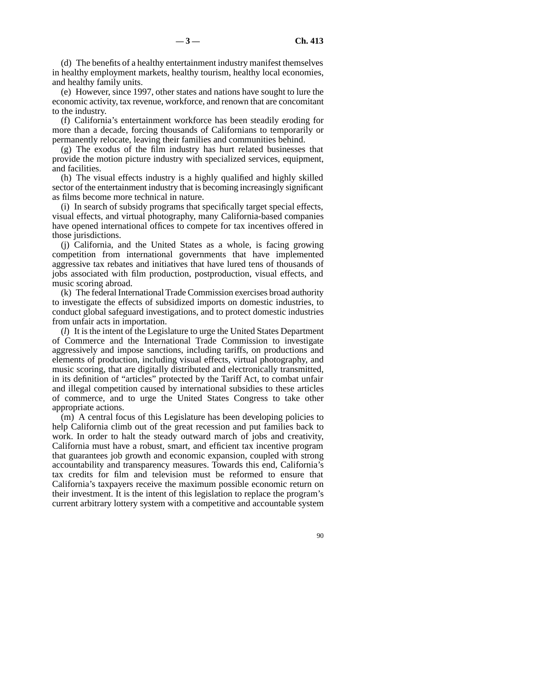(d) The benefits of a healthy entertainment industry manifest themselves in healthy employment markets, healthy tourism, healthy local economies, and healthy family units.

(e) However, since 1997, other states and nations have sought to lure the economic activity, tax revenue, workforce, and renown that are concomitant to the industry.

(f) California's entertainment workforce has been steadily eroding for more than a decade, forcing thousands of Californians to temporarily or permanently relocate, leaving their families and communities behind.

(g) The exodus of the film industry has hurt related businesses that provide the motion picture industry with specialized services, equipment, and facilities.

(h) The visual effects industry is a highly qualified and highly skilled sector of the entertainment industry that is becoming increasingly significant as films become more technical in nature.

(i) In search of subsidy programs that specifically target special effects, visual effects, and virtual photography, many California-based companies have opened international offices to compete for tax incentives offered in those jurisdictions.

(j) California, and the United States as a whole, is facing growing competition from international governments that have implemented aggressive tax rebates and initiatives that have lured tens of thousands of jobs associated with film production, postproduction, visual effects, and music scoring abroad.

(k) The federal International Trade Commission exercises broad authority to investigate the effects of subsidized imports on domestic industries, to conduct global safeguard investigations, and to protect domestic industries from unfair acts in importation.

(*l*) It is the intent of the Legislature to urge the United States Department of Commerce and the International Trade Commission to investigate aggressively and impose sanctions, including tariffs, on productions and elements of production, including visual effects, virtual photography, and music scoring, that are digitally distributed and electronically transmitted, in its definition of "articles" protected by the Tariff Act, to combat unfair and illegal competition caused by international subsidies to these articles of commerce, and to urge the United States Congress to take other appropriate actions.

(m) A central focus of this Legislature has been developing policies to help California climb out of the great recession and put families back to work. In order to halt the steady outward march of jobs and creativity, California must have a robust, smart, and efficient tax incentive program that guarantees job growth and economic expansion, coupled with strong accountability and transparency measures. Towards this end, California's tax credits for film and television must be reformed to ensure that California's taxpayers receive the maximum possible economic return on their investment. It is the intent of this legislation to replace the program's current arbitrary lottery system with a competitive and accountable system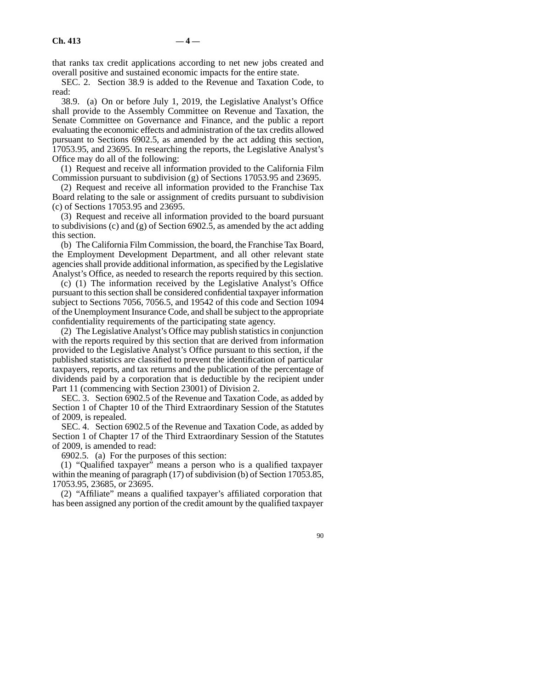that ranks tax credit applications according to net new jobs created and overall positive and sustained economic impacts for the entire state.

SEC. 2. Section 38.9 is added to the Revenue and Taxation Code, to read:

38.9. (a) On or before July 1, 2019, the Legislative Analyst's Office shall provide to the Assembly Committee on Revenue and Taxation, the Senate Committee on Governance and Finance, and the public a report evaluating the economic effects and administration of the tax credits allowed pursuant to Sections 6902.5, as amended by the act adding this section, 17053.95, and 23695. In researching the reports, the Legislative Analyst's Office may do all of the following:

(1) Request and receive all information provided to the California Film Commission pursuant to subdivision (g) of Sections 17053.95 and 23695.

(2) Request and receive all information provided to the Franchise Tax Board relating to the sale or assignment of credits pursuant to subdivision (c) of Sections 17053.95 and 23695.

(3) Request and receive all information provided to the board pursuant to subdivisions (c) and (g) of Section 6902.5, as amended by the act adding this section.

(b) The California Film Commission, the board, the Franchise Tax Board, the Employment Development Department, and all other relevant state agencies shall provide additional information, as specified by the Legislative Analyst's Office, as needed to research the reports required by this section.

(c) (1) The information received by the Legislative Analyst's Office pursuant to this section shall be considered confidential taxpayer information subject to Sections 7056, 7056.5, and 19542 of this code and Section 1094 of the Unemployment Insurance Code, and shall be subject to the appropriate confidentiality requirements of the participating state agency.

(2) The Legislative Analyst's Office may publish statistics in conjunction with the reports required by this section that are derived from information provided to the Legislative Analyst's Office pursuant to this section, if the published statistics are classified to prevent the identification of particular taxpayers, reports, and tax returns and the publication of the percentage of dividends paid by a corporation that is deductible by the recipient under Part 11 (commencing with Section 23001) of Division 2.

SEC. 3. Section 6902.5 of the Revenue and Taxation Code, as added by Section 1 of Chapter 10 of the Third Extraordinary Session of the Statutes of 2009, is repealed.

SEC. 4. Section 6902.5 of the Revenue and Taxation Code, as added by Section 1 of Chapter 17 of the Third Extraordinary Session of the Statutes of 2009, is amended to read:

6902.5. (a) For the purposes of this section:

(1) "Qualified taxpayer" means a person who is a qualified taxpayer within the meaning of paragraph (17) of subdivision (b) of Section 17053.85, 17053.95, 23685, or 23695.

(2) "Affiliate" means a qualified taxpayer's affiliated corporation that has been assigned any portion of the credit amount by the qualified taxpayer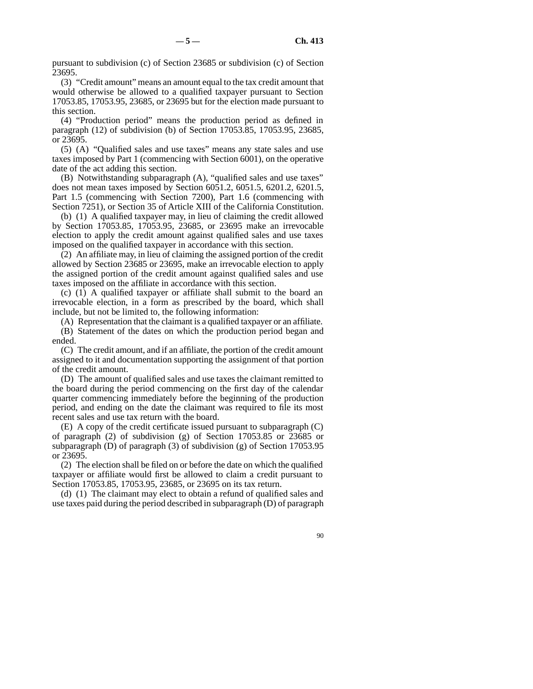pursuant to subdivision (c) of Section 23685 or subdivision (c) of Section 23695.

(3) "Credit amount" means an amount equal to the tax credit amount that would otherwise be allowed to a qualified taxpayer pursuant to Section 17053.85, 17053.95, 23685, or 23695 but for the election made pursuant to this section.

(4) "Production period" means the production period as defined in paragraph (12) of subdivision (b) of Section 17053.85, 17053.95, 23685, or 23695.

(5) (A) "Qualified sales and use taxes" means any state sales and use taxes imposed by Part 1 (commencing with Section 6001), on the operative date of the act adding this section.

(B) Notwithstanding subparagraph (A), "qualified sales and use taxes" does not mean taxes imposed by Section 6051.2, 6051.5, 6201.2, 6201.5, Part 1.5 (commencing with Section 7200), Part 1.6 (commencing with Section 7251), or Section 35 of Article XIII of the California Constitution.

(b) (1) A qualified taxpayer may, in lieu of claiming the credit allowed by Section 17053.85, 17053.95, 23685, or 23695 make an irrevocable election to apply the credit amount against qualified sales and use taxes imposed on the qualified taxpayer in accordance with this section.

(2) An affiliate may, in lieu of claiming the assigned portion of the credit allowed by Section 23685 or 23695, make an irrevocable election to apply the assigned portion of the credit amount against qualified sales and use taxes imposed on the affiliate in accordance with this section.

(c) (1) A qualified taxpayer or affiliate shall submit to the board an irrevocable election, in a form as prescribed by the board, which shall include, but not be limited to, the following information:

(A) Representation that the claimant is a qualified taxpayer or an affiliate.

(B) Statement of the dates on which the production period began and ended.

(C) The credit amount, and if an affiliate, the portion of the credit amount assigned to it and documentation supporting the assignment of that portion of the credit amount.

(D) The amount of qualified sales and use taxes the claimant remitted to the board during the period commencing on the first day of the calendar quarter commencing immediately before the beginning of the production period, and ending on the date the claimant was required to file its most recent sales and use tax return with the board.

 $(E)$  A copy of the credit certificate issued pursuant to subparagraph  $(C)$ of paragraph (2) of subdivision (g) of Section 17053.85 or 23685 or subparagraph (D) of paragraph (3) of subdivision (g) of Section 17053.95 or 23695.

(2) The election shall be filed on or before the date on which the qualified taxpayer or affiliate would first be allowed to claim a credit pursuant to Section 17053.85, 17053.95, 23685, or 23695 on its tax return.

(d) (1) The claimant may elect to obtain a refund of qualified sales and use taxes paid during the period described in subparagraph (D) of paragraph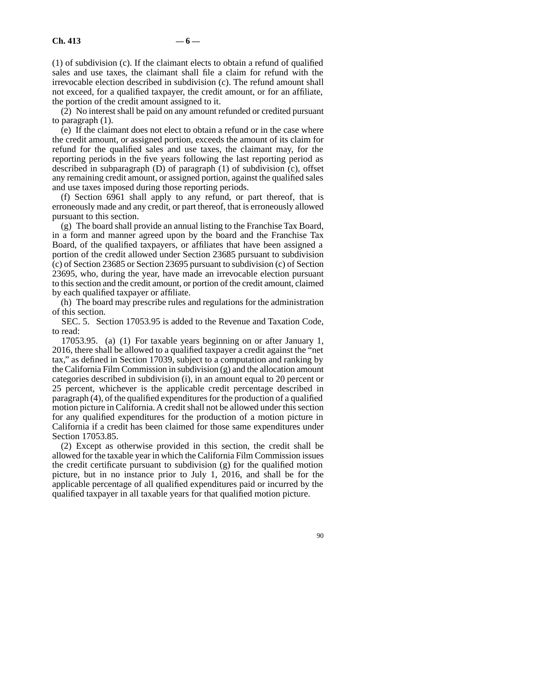(1) of subdivision (c). If the claimant elects to obtain a refund of qualified sales and use taxes, the claimant shall file a claim for refund with the irrevocable election described in subdivision (c). The refund amount shall not exceed, for a qualified taxpayer, the credit amount, or for an affiliate, the portion of the credit amount assigned to it.

(2) No interest shall be paid on any amount refunded or credited pursuant to paragraph (1).

(e) If the claimant does not elect to obtain a refund or in the case where the credit amount, or assigned portion, exceeds the amount of its claim for refund for the qualified sales and use taxes, the claimant may, for the reporting periods in the five years following the last reporting period as described in subparagraph (D) of paragraph (1) of subdivision (c), offset any remaining credit amount, or assigned portion, against the qualified sales and use taxes imposed during those reporting periods.

(f) Section 6961 shall apply to any refund, or part thereof, that is erroneously made and any credit, or part thereof, that is erroneously allowed pursuant to this section.

(g) The board shall provide an annual listing to the Franchise Tax Board, in a form and manner agreed upon by the board and the Franchise Tax Board, of the qualified taxpayers, or affiliates that have been assigned a portion of the credit allowed under Section 23685 pursuant to subdivision (c) of Section 23685 or Section 23695 pursuant to subdivision (c) of Section 23695, who, during the year, have made an irrevocable election pursuant to this section and the credit amount, or portion of the credit amount, claimed by each qualified taxpayer or affiliate.

(h) The board may prescribe rules and regulations for the administration of this section.

SEC. 5. Section 17053.95 is added to the Revenue and Taxation Code, to read:

17053.95. (a) (1) For taxable years beginning on or after January 1, 2016, there shall be allowed to a qualified taxpayer a credit against the "net tax," as defined in Section 17039, subject to a computation and ranking by the California Film Commission in subdivision (g) and the allocation amount categories described in subdivision (i), in an amount equal to 20 percent or 25 percent, whichever is the applicable credit percentage described in paragraph (4), of the qualified expenditures for the production of a qualified motion picture in California. A credit shall not be allowed under this section for any qualified expenditures for the production of a motion picture in California if a credit has been claimed for those same expenditures under Section 17053.85.

(2) Except as otherwise provided in this section, the credit shall be allowed for the taxable year in which the California Film Commission issues the credit certificate pursuant to subdivision (g) for the qualified motion picture, but in no instance prior to July 1, 2016, and shall be for the applicable percentage of all qualified expenditures paid or incurred by the qualified taxpayer in all taxable years for that qualified motion picture.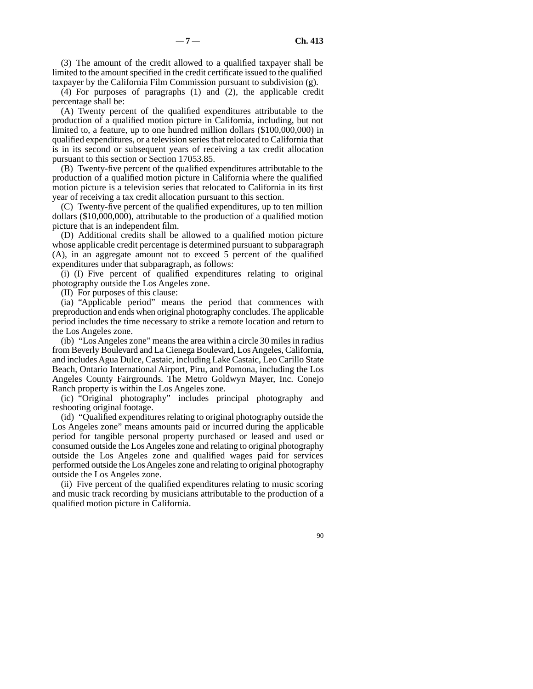(3) The amount of the credit allowed to a qualified taxpayer shall be limited to the amount specified in the credit certificate issued to the qualified taxpayer by the California Film Commission pursuant to subdivision (g).

(4) For purposes of paragraphs (1) and (2), the applicable credit percentage shall be:

(A) Twenty percent of the qualified expenditures attributable to the production of a qualified motion picture in California, including, but not limited to, a feature, up to one hundred million dollars (\$100,000,000) in qualified expenditures, or a television series that relocated to California that is in its second or subsequent years of receiving a tax credit allocation pursuant to this section or Section 17053.85.

(B) Twenty-five percent of the qualified expenditures attributable to the production of a qualified motion picture in California where the qualified motion picture is a television series that relocated to California in its first year of receiving a tax credit allocation pursuant to this section.

(C) Twenty-five percent of the qualified expenditures, up to ten million dollars (\$10,000,000), attributable to the production of a qualified motion picture that is an independent film.

(D) Additional credits shall be allowed to a qualified motion picture whose applicable credit percentage is determined pursuant to subparagraph (A), in an aggregate amount not to exceed 5 percent of the qualified expenditures under that subparagraph, as follows:

(i) (I) Five percent of qualified expenditures relating to original photography outside the Los Angeles zone.

(II) For purposes of this clause:

(ia) "Applicable period" means the period that commences with preproduction and ends when original photography concludes. The applicable period includes the time necessary to strike a remote location and return to the Los Angeles zone.

(ib) "Los Angeles zone" means the area within a circle 30 miles in radius from Beverly Boulevard and La Cienega Boulevard, Los Angeles, California, and includes Agua Dulce, Castaic, including Lake Castaic, Leo Carillo State Beach, Ontario International Airport, Piru, and Pomona, including the Los Angeles County Fairgrounds. The Metro Goldwyn Mayer, Inc. Conejo Ranch property is within the Los Angeles zone.

(ic) "Original photography" includes principal photography and reshooting original footage.

(id) "Qualified expenditures relating to original photography outside the Los Angeles zone" means amounts paid or incurred during the applicable period for tangible personal property purchased or leased and used or consumed outside the Los Angeles zone and relating to original photography outside the Los Angeles zone and qualified wages paid for services performed outside the Los Angeles zone and relating to original photography outside the Los Angeles zone.

(ii) Five percent of the qualified expenditures relating to music scoring and music track recording by musicians attributable to the production of a qualified motion picture in California.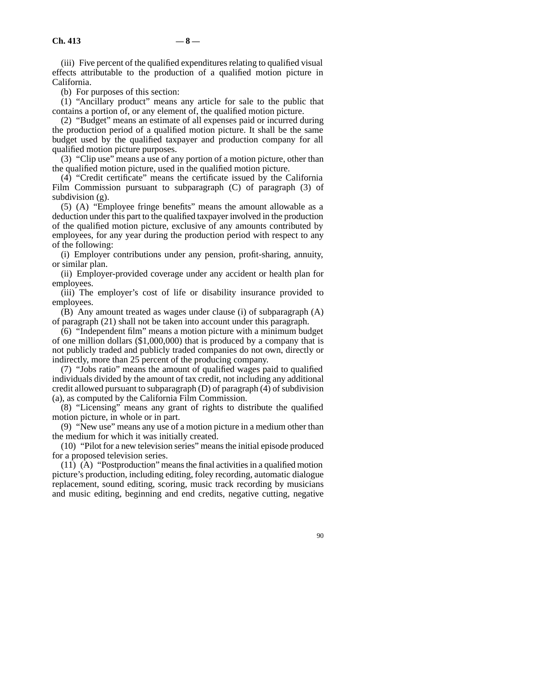(iii) Five percent of the qualified expenditures relating to qualified visual effects attributable to the production of a qualified motion picture in California.

(b) For purposes of this section:

(1) "Ancillary product" means any article for sale to the public that contains a portion of, or any element of, the qualified motion picture.

(2) "Budget" means an estimate of all expenses paid or incurred during the production period of a qualified motion picture. It shall be the same budget used by the qualified taxpayer and production company for all qualified motion picture purposes.

(3) "Clip use" means a use of any portion of a motion picture, other than the qualified motion picture, used in the qualified motion picture.

(4) "Credit certificate" means the certificate issued by the California Film Commission pursuant to subparagraph (C) of paragraph (3) of subdivision (g).

(5) (A) "Employee fringe benefits" means the amount allowable as a deduction under this part to the qualified taxpayer involved in the production of the qualified motion picture, exclusive of any amounts contributed by employees, for any year during the production period with respect to any of the following:

(i) Employer contributions under any pension, profit-sharing, annuity, or similar plan.

(ii) Employer-provided coverage under any accident or health plan for employees.

(iii) The employer's cost of life or disability insurance provided to employees.

(B) Any amount treated as wages under clause (i) of subparagraph (A) of paragraph (21) shall not be taken into account under this paragraph.

(6) "Independent film" means a motion picture with a minimum budget of one million dollars (\$1,000,000) that is produced by a company that is not publicly traded and publicly traded companies do not own, directly or indirectly, more than 25 percent of the producing company.

(7) "Jobs ratio" means the amount of qualified wages paid to qualified individuals divided by the amount of tax credit, not including any additional credit allowed pursuant to subparagraph (D) of paragraph (4) of subdivision (a), as computed by the California Film Commission.

(8) "Licensing" means any grant of rights to distribute the qualified motion picture, in whole or in part.

(9) "New use" means any use of a motion picture in a medium other than the medium for which it was initially created.

(10) "Pilot for a new television series" means the initial episode produced for a proposed television series.

 $(11)$   $(A)$  "Postproduction" means the final activities in a qualified motion picture's production, including editing, foley recording, automatic dialogue replacement, sound editing, scoring, music track recording by musicians and music editing, beginning and end credits, negative cutting, negative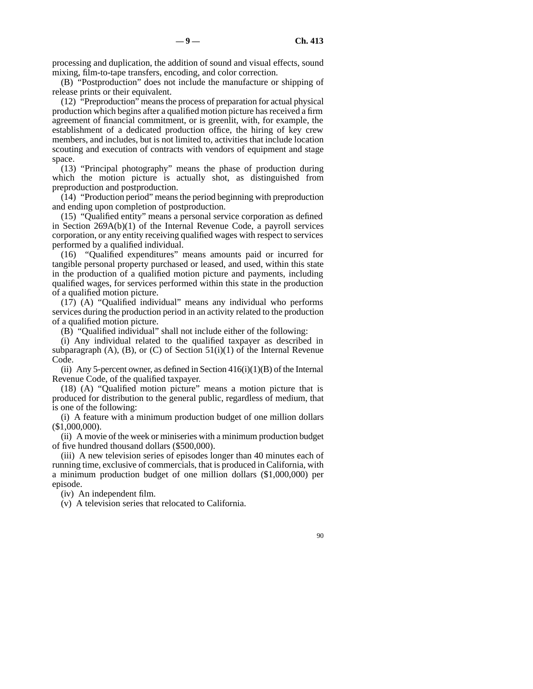processing and duplication, the addition of sound and visual effects, sound mixing, film-to-tape transfers, encoding, and color correction.

(B) "Postproduction" does not include the manufacture or shipping of release prints or their equivalent.

(12) "Preproduction" means the process of preparation for actual physical production which begins after a qualified motion picture has received a firm agreement of financial commitment, or is greenlit, with, for example, the establishment of a dedicated production office, the hiring of key crew members, and includes, but is not limited to, activities that include location scouting and execution of contracts with vendors of equipment and stage space.

(13) "Principal photography" means the phase of production during which the motion picture is actually shot, as distinguished from preproduction and postproduction.

(14) "Production period" means the period beginning with preproduction and ending upon completion of postproduction.

(15) "Qualified entity" means a personal service corporation as defined in Section 269A(b)(1) of the Internal Revenue Code, a payroll services corporation, or any entity receiving qualified wages with respect to services performed by a qualified individual.

(16) "Qualified expenditures" means amounts paid or incurred for tangible personal property purchased or leased, and used, within this state in the production of a qualified motion picture and payments, including qualified wages, for services performed within this state in the production of a qualified motion picture.

(17) (A) "Qualified individual" means any individual who performs services during the production period in an activity related to the production of a qualified motion picture.

(B) "Qualified individual" shall not include either of the following:

(i) Any individual related to the qualified taxpayer as described in subparagraph  $(A)$ ,  $(B)$ , or  $(C)$  of Section 51(i)(1) of the Internal Revenue Code.

(ii) Any 5-percent owner, as defined in Section  $416(i)(1)(B)$  of the Internal Revenue Code, of the qualified taxpayer.

(18) (A) "Qualified motion picture" means a motion picture that is produced for distribution to the general public, regardless of medium, that is one of the following:

(i) A feature with a minimum production budget of one million dollars (\$1,000,000).

(ii) A movie of the week or miniseries with a minimum production budget of five hundred thousand dollars (\$500,000).

(iii) A new television series of episodes longer than 40 minutes each of running time, exclusive of commercials, that is produced in California, with a minimum production budget of one million dollars (\$1,000,000) per episode.

(iv) An independent film.

(v) A television series that relocated to California.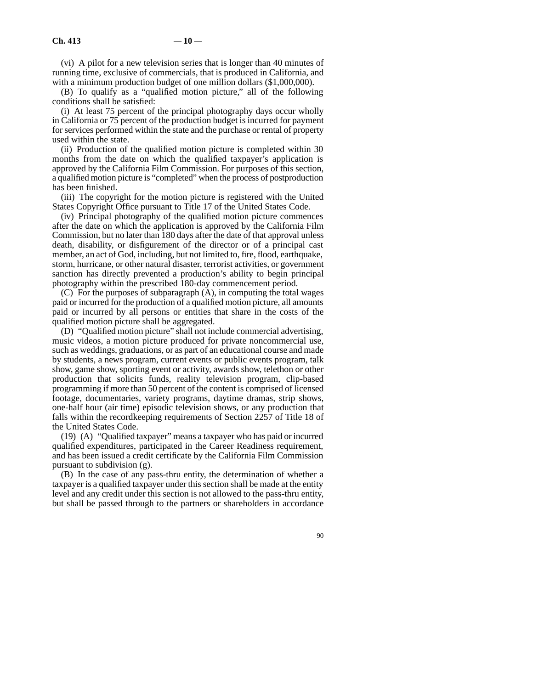(vi) A pilot for a new television series that is longer than 40 minutes of running time, exclusive of commercials, that is produced in California, and with a minimum production budget of one million dollars  $(\$1,000,000)$ .

(B) To qualify as a "qualified motion picture," all of the following conditions shall be satisfied:

(i) At least 75 percent of the principal photography days occur wholly in California or 75 percent of the production budget is incurred for payment for services performed within the state and the purchase or rental of property used within the state.

(ii) Production of the qualified motion picture is completed within 30 months from the date on which the qualified taxpayer's application is approved by the California Film Commission. For purposes of this section, a qualified motion picture is "completed" when the process of postproduction has been finished.

(iii) The copyright for the motion picture is registered with the United States Copyright Office pursuant to Title 17 of the United States Code.

(iv) Principal photography of the qualified motion picture commences after the date on which the application is approved by the California Film Commission, but no later than 180 days after the date of that approval unless death, disability, or disfigurement of the director or of a principal cast member, an act of God, including, but not limited to, fire, flood, earthquake, storm, hurricane, or other natural disaster, terrorist activities, or government sanction has directly prevented a production's ability to begin principal photography within the prescribed 180-day commencement period.

(C) For the purposes of subparagraph (A), in computing the total wages paid or incurred for the production of a qualified motion picture, all amounts paid or incurred by all persons or entities that share in the costs of the qualified motion picture shall be aggregated.

(D) "Qualified motion picture" shall not include commercial advertising, music videos, a motion picture produced for private noncommercial use, such as weddings, graduations, or as part of an educational course and made by students, a news program, current events or public events program, talk show, game show, sporting event or activity, awards show, telethon or other production that solicits funds, reality television program, clip-based programming if more than 50 percent of the content is comprised of licensed footage, documentaries, variety programs, daytime dramas, strip shows, one-half hour (air time) episodic television shows, or any production that falls within the recordkeeping requirements of Section 2257 of Title 18 of the United States Code.

(19) (A) "Qualified taxpayer" means a taxpayer who has paid or incurred qualified expenditures, participated in the Career Readiness requirement, and has been issued a credit certificate by the California Film Commission pursuant to subdivision (g).

(B) In the case of any pass-thru entity, the determination of whether a taxpayer is a qualified taxpayer under this section shall be made at the entity level and any credit under this section is not allowed to the pass-thru entity, but shall be passed through to the partners or shareholders in accordance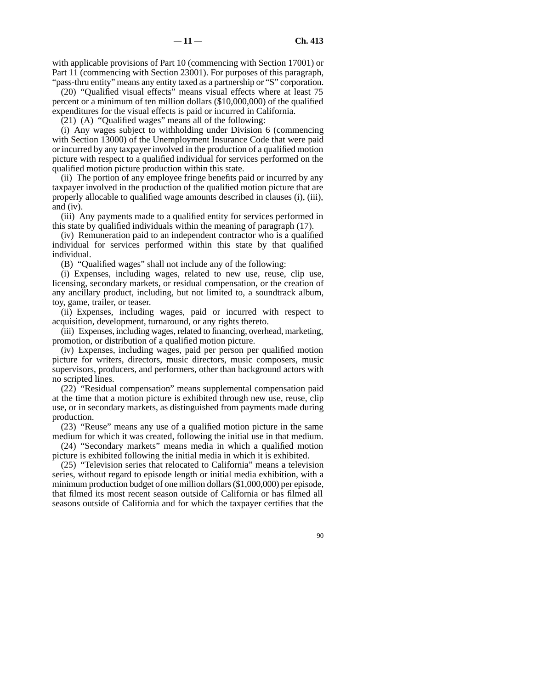with applicable provisions of Part 10 (commencing with Section 17001) or Part 11 (commencing with Section 23001). For purposes of this paragraph, "pass-thru entity" means any entity taxed as a partnership or "S" corporation.

(20) "Qualified visual effects" means visual effects where at least 75 percent or a minimum of ten million dollars (\$10,000,000) of the qualified expenditures for the visual effects is paid or incurred in California.

(21) (A) "Qualified wages" means all of the following:

(i) Any wages subject to withholding under Division 6 (commencing with Section 13000) of the Unemployment Insurance Code that were paid or incurred by any taxpayer involved in the production of a qualified motion picture with respect to a qualified individual for services performed on the qualified motion picture production within this state.

(ii) The portion of any employee fringe benefits paid or incurred by any taxpayer involved in the production of the qualified motion picture that are properly allocable to qualified wage amounts described in clauses (i), (iii), and (iv).

(iii) Any payments made to a qualified entity for services performed in this state by qualified individuals within the meaning of paragraph (17).

(iv) Remuneration paid to an independent contractor who is a qualified individual for services performed within this state by that qualified individual.

(B) "Qualified wages" shall not include any of the following:

(i) Expenses, including wages, related to new use, reuse, clip use, licensing, secondary markets, or residual compensation, or the creation of any ancillary product, including, but not limited to, a soundtrack album, toy, game, trailer, or teaser.

(ii) Expenses, including wages, paid or incurred with respect to acquisition, development, turnaround, or any rights thereto.

(iii) Expenses, including wages, related to financing, overhead, marketing, promotion, or distribution of a qualified motion picture.

(iv) Expenses, including wages, paid per person per qualified motion picture for writers, directors, music directors, music composers, music supervisors, producers, and performers, other than background actors with no scripted lines.

(22) "Residual compensation" means supplemental compensation paid at the time that a motion picture is exhibited through new use, reuse, clip use, or in secondary markets, as distinguished from payments made during production.

(23) "Reuse" means any use of a qualified motion picture in the same medium for which it was created, following the initial use in that medium.

(24) "Secondary markets" means media in which a qualified motion picture is exhibited following the initial media in which it is exhibited.

(25) "Television series that relocated to California" means a television series, without regard to episode length or initial media exhibition, with a minimum production budget of one million dollars (\$1,000,000) per episode, that filmed its most recent season outside of California or has filmed all seasons outside of California and for which the taxpayer certifies that the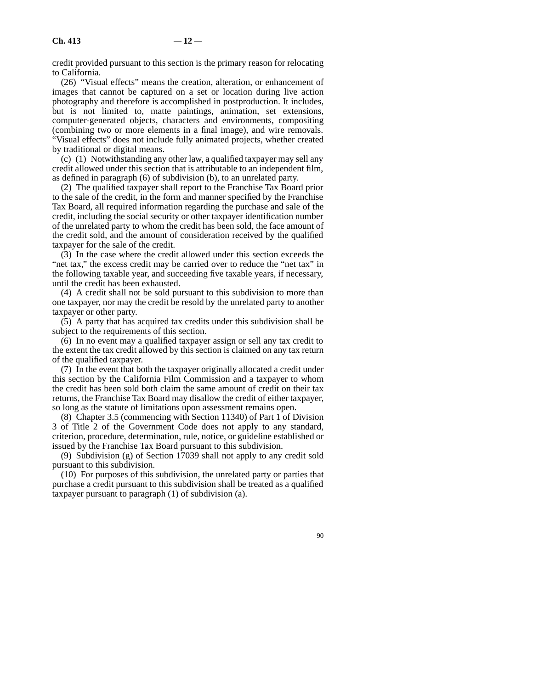credit provided pursuant to this section is the primary reason for relocating to California.

(26) "Visual effects" means the creation, alteration, or enhancement of images that cannot be captured on a set or location during live action photography and therefore is accomplished in postproduction. It includes, but is not limited to, matte paintings, animation, set extensions, computer-generated objects, characters and environments, compositing (combining two or more elements in a final image), and wire removals. "Visual effects" does not include fully animated projects, whether created by traditional or digital means.

(c) (1) Notwithstanding any other law, a qualified taxpayer may sell any credit allowed under this section that is attributable to an independent film, as defined in paragraph (6) of subdivision (b), to an unrelated party.

(2) The qualified taxpayer shall report to the Franchise Tax Board prior to the sale of the credit, in the form and manner specified by the Franchise Tax Board, all required information regarding the purchase and sale of the credit, including the social security or other taxpayer identification number of the unrelated party to whom the credit has been sold, the face amount of the credit sold, and the amount of consideration received by the qualified taxpayer for the sale of the credit.

(3) In the case where the credit allowed under this section exceeds the "net tax," the excess credit may be carried over to reduce the "net tax" in the following taxable year, and succeeding five taxable years, if necessary, until the credit has been exhausted.

(4) A credit shall not be sold pursuant to this subdivision to more than one taxpayer, nor may the credit be resold by the unrelated party to another taxpayer or other party.

(5) A party that has acquired tax credits under this subdivision shall be subject to the requirements of this section.

(6) In no event may a qualified taxpayer assign or sell any tax credit to the extent the tax credit allowed by this section is claimed on any tax return of the qualified taxpayer.

(7) In the event that both the taxpayer originally allocated a credit under this section by the California Film Commission and a taxpayer to whom the credit has been sold both claim the same amount of credit on their tax returns, the Franchise Tax Board may disallow the credit of either taxpayer, so long as the statute of limitations upon assessment remains open.

(8) Chapter 3.5 (commencing with Section 11340) of Part 1 of Division 3 of Title 2 of the Government Code does not apply to any standard, criterion, procedure, determination, rule, notice, or guideline established or issued by the Franchise Tax Board pursuant to this subdivision.

(9) Subdivision (g) of Section 17039 shall not apply to any credit sold pursuant to this subdivision.

(10) For purposes of this subdivision, the unrelated party or parties that purchase a credit pursuant to this subdivision shall be treated as a qualified taxpayer pursuant to paragraph (1) of subdivision (a).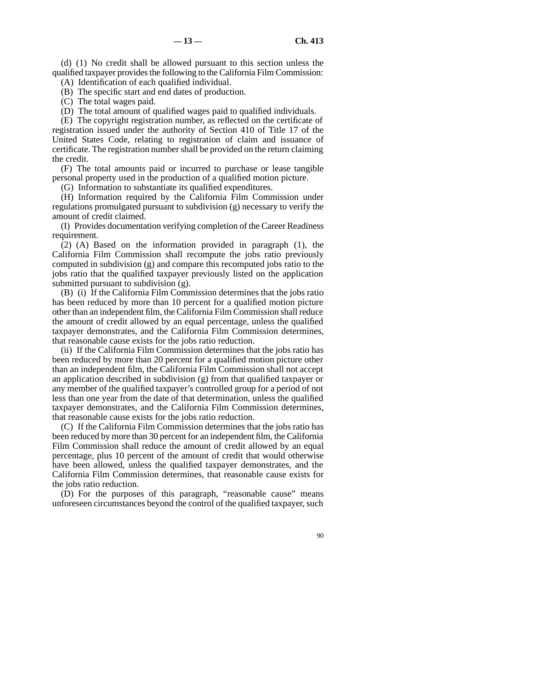(d) (1) No credit shall be allowed pursuant to this section unless the qualified taxpayer provides the following to the California Film Commission: (A) Identification of each qualified individual.

(B) The specific start and end dates of production.

(C) The total wages paid.

(D) The total amount of qualified wages paid to qualified individuals.

(E) The copyright registration number, as reflected on the certificate of registration issued under the authority of Section 410 of Title 17 of the United States Code, relating to registration of claim and issuance of certificate. The registration number shall be provided on the return claiming the credit.

(F) The total amounts paid or incurred to purchase or lease tangible personal property used in the production of a qualified motion picture.

(G) Information to substantiate its qualified expenditures.

(H) Information required by the California Film Commission under regulations promulgated pursuant to subdivision (g) necessary to verify the amount of credit claimed.

(I) Provides documentation verifying completion of the Career Readiness requirement.

(2) (A) Based on the information provided in paragraph (1), the California Film Commission shall recompute the jobs ratio previously computed in subdivision (g) and compare this recomputed jobs ratio to the jobs ratio that the qualified taxpayer previously listed on the application submitted pursuant to subdivision (g).

(B) (i) If the California Film Commission determines that the jobs ratio has been reduced by more than 10 percent for a qualified motion picture other than an independent film, the California Film Commission shall reduce the amount of credit allowed by an equal percentage, unless the qualified taxpayer demonstrates, and the California Film Commission determines, that reasonable cause exists for the jobs ratio reduction.

(ii) If the California Film Commission determines that the jobs ratio has been reduced by more than 20 percent for a qualified motion picture other than an independent film, the California Film Commission shall not accept an application described in subdivision (g) from that qualified taxpayer or any member of the qualified taxpayer's controlled group for a period of not less than one year from the date of that determination, unless the qualified taxpayer demonstrates, and the California Film Commission determines, that reasonable cause exists for the jobs ratio reduction.

(C) If the California Film Commission determines that the jobs ratio has been reduced by more than 30 percent for an independent film, the California Film Commission shall reduce the amount of credit allowed by an equal percentage, plus 10 percent of the amount of credit that would otherwise have been allowed, unless the qualified taxpayer demonstrates, and the California Film Commission determines, that reasonable cause exists for the jobs ratio reduction.

(D) For the purposes of this paragraph, "reasonable cause" means unforeseen circumstances beyond the control of the qualified taxpayer, such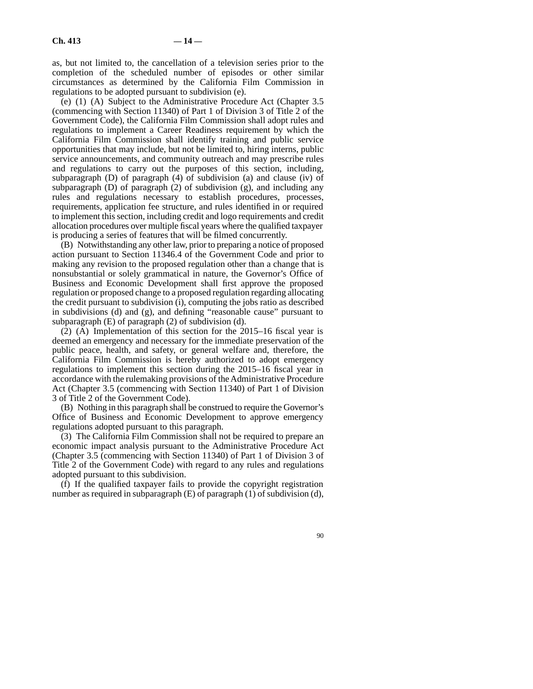as, but not limited to, the cancellation of a television series prior to the completion of the scheduled number of episodes or other similar circumstances as determined by the California Film Commission in regulations to be adopted pursuant to subdivision (e).

(e) (1) (A) Subject to the Administrative Procedure Act (Chapter 3.5 (commencing with Section 11340) of Part 1 of Division 3 of Title 2 of the Government Code), the California Film Commission shall adopt rules and regulations to implement a Career Readiness requirement by which the California Film Commission shall identify training and public service opportunities that may include, but not be limited to, hiring interns, public service announcements, and community outreach and may prescribe rules and regulations to carry out the purposes of this section, including, subparagraph (D) of paragraph (4) of subdivision (a) and clause (iv) of subparagraph  $(D)$  of paragraph  $(2)$  of subdivision  $(g)$ , and including any rules and regulations necessary to establish procedures, processes, requirements, application fee structure, and rules identified in or required to implement this section, including credit and logo requirements and credit allocation procedures over multiple fiscal years where the qualified taxpayer is producing a series of features that will be filmed concurrently.

(B) Notwithstanding any other law, prior to preparing a notice of proposed action pursuant to Section 11346.4 of the Government Code and prior to making any revision to the proposed regulation other than a change that is nonsubstantial or solely grammatical in nature, the Governor's Office of Business and Economic Development shall first approve the proposed regulation or proposed change to a proposed regulation regarding allocating the credit pursuant to subdivision (i), computing the jobs ratio as described in subdivisions (d) and (g), and defining "reasonable cause" pursuant to subparagraph (E) of paragraph (2) of subdivision (d).

 $(2)$   $(A)$  Implementation of this section for the 2015–16 fiscal year is deemed an emergency and necessary for the immediate preservation of the public peace, health, and safety, or general welfare and, therefore, the California Film Commission is hereby authorized to adopt emergency regulations to implement this section during the 2015–16 fiscal year in accordance with the rulemaking provisions of the Administrative Procedure Act (Chapter 3.5 (commencing with Section 11340) of Part 1 of Division 3 of Title 2 of the Government Code).

(B) Nothing in this paragraph shall be construed to require the Governor's Office of Business and Economic Development to approve emergency regulations adopted pursuant to this paragraph.

(3) The California Film Commission shall not be required to prepare an economic impact analysis pursuant to the Administrative Procedure Act (Chapter 3.5 (commencing with Section 11340) of Part 1 of Division 3 of Title 2 of the Government Code) with regard to any rules and regulations adopted pursuant to this subdivision.

(f) If the qualified taxpayer fails to provide the copyright registration number as required in subparagraph (E) of paragraph (1) of subdivision (d),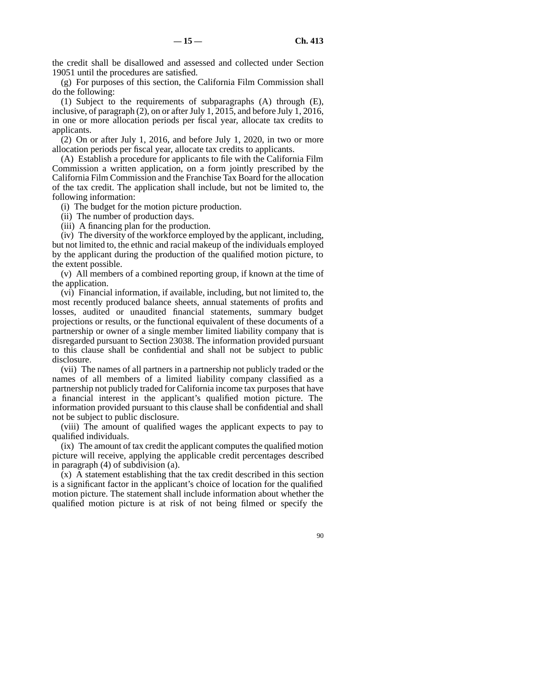the credit shall be disallowed and assessed and collected under Section 19051 until the procedures are satisfied.

(g) For purposes of this section, the California Film Commission shall do the following:

(1) Subject to the requirements of subparagraphs (A) through (E), inclusive, of paragraph (2), on or after July 1, 2015, and before July 1, 2016, in one or more allocation periods per fiscal year, allocate tax credits to applicants.

(2) On or after July 1, 2016, and before July 1, 2020, in two or more allocation periods per fiscal year, allocate tax credits to applicants.

(A) Establish a procedure for applicants to file with the California Film Commission a written application, on a form jointly prescribed by the California Film Commission and the Franchise Tax Board for the allocation of the tax credit. The application shall include, but not be limited to, the following information:

(i) The budget for the motion picture production.

(ii) The number of production days.

(iii) A financing plan for the production.

(iv) The diversity of the workforce employed by the applicant, including, but not limited to, the ethnic and racial makeup of the individuals employed by the applicant during the production of the qualified motion picture, to the extent possible.

(v) All members of a combined reporting group, if known at the time of the application.

(vi) Financial information, if available, including, but not limited to, the most recently produced balance sheets, annual statements of profits and losses, audited or unaudited financial statements, summary budget projections or results, or the functional equivalent of these documents of a partnership or owner of a single member limited liability company that is disregarded pursuant to Section 23038. The information provided pursuant to this clause shall be confidential and shall not be subject to public disclosure.

(vii) The names of all partners in a partnership not publicly traded or the names of all members of a limited liability company classified as a partnership not publicly traded for California income tax purposes that have a financial interest in the applicant's qualified motion picture. The information provided pursuant to this clause shall be confidential and shall not be subject to public disclosure.

(viii) The amount of qualified wages the applicant expects to pay to qualified individuals.

(ix) The amount of tax credit the applicant computes the qualified motion picture will receive, applying the applicable credit percentages described in paragraph (4) of subdivision (a).

(x) A statement establishing that the tax credit described in this section is a significant factor in the applicant's choice of location for the qualified motion picture. The statement shall include information about whether the qualified motion picture is at risk of not being filmed or specify the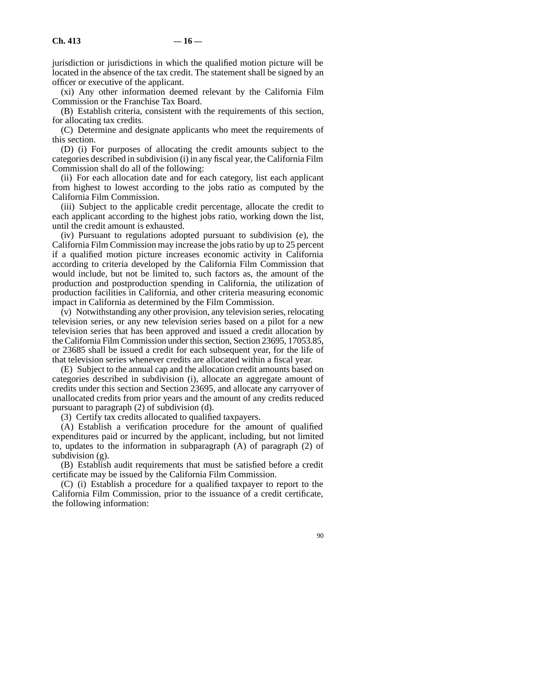jurisdiction or jurisdictions in which the qualified motion picture will be located in the absence of the tax credit. The statement shall be signed by an officer or executive of the applicant.

(xi) Any other information deemed relevant by the California Film Commission or the Franchise Tax Board.

(B) Establish criteria, consistent with the requirements of this section, for allocating tax credits.

(C) Determine and designate applicants who meet the requirements of this section.

(D) (i) For purposes of allocating the credit amounts subject to the categories described in subdivision (i) in any fiscal year, the California Film Commission shall do all of the following:

(ii) For each allocation date and for each category, list each applicant from highest to lowest according to the jobs ratio as computed by the California Film Commission.

(iii) Subject to the applicable credit percentage, allocate the credit to each applicant according to the highest jobs ratio, working down the list, until the credit amount is exhausted.

(iv) Pursuant to regulations adopted pursuant to subdivision (e), the California Film Commission may increase the jobs ratio by up to 25 percent if a qualified motion picture increases economic activity in California according to criteria developed by the California Film Commission that would include, but not be limited to, such factors as, the amount of the production and postproduction spending in California, the utilization of production facilities in California, and other criteria measuring economic impact in California as determined by the Film Commission.

(v) Notwithstanding any other provision, any television series, relocating television series, or any new television series based on a pilot for a new television series that has been approved and issued a credit allocation by the California Film Commission under this section, Section 23695, 17053.85, or 23685 shall be issued a credit for each subsequent year, for the life of that television series whenever credits are allocated within a fiscal year.

(E) Subject to the annual cap and the allocation credit amounts based on categories described in subdivision (i), allocate an aggregate amount of credits under this section and Section 23695, and allocate any carryover of unallocated credits from prior years and the amount of any credits reduced pursuant to paragraph (2) of subdivision (d).

(3) Certify tax credits allocated to qualified taxpayers.

(A) Establish a verification procedure for the amount of qualified expenditures paid or incurred by the applicant, including, but not limited to, updates to the information in subparagraph (A) of paragraph (2) of subdivision (g).

(B) Establish audit requirements that must be satisfied before a credit certificate may be issued by the California Film Commission.

(C) (i) Establish a procedure for a qualified taxpayer to report to the California Film Commission, prior to the issuance of a credit certificate, the following information: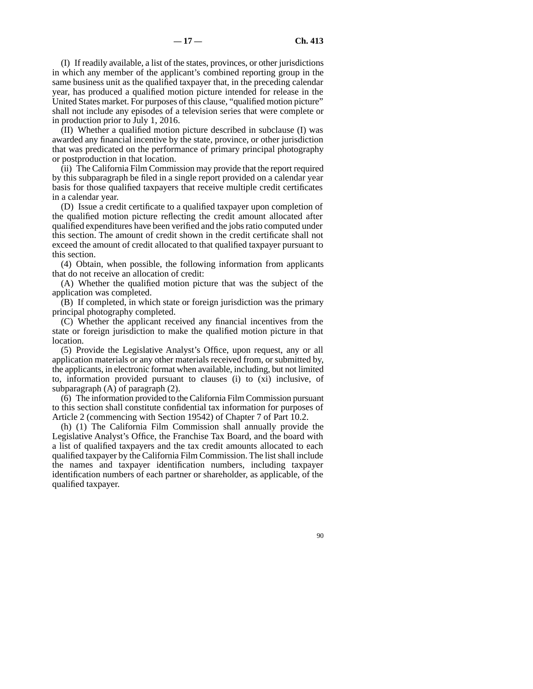(I) If readily available, a list of the states, provinces, or other jurisdictions in which any member of the applicant's combined reporting group in the same business unit as the qualified taxpayer that, in the preceding calendar year, has produced a qualified motion picture intended for release in the United States market. For purposes of this clause, "qualified motion picture" shall not include any episodes of a television series that were complete or in production prior to July 1, 2016.

(II) Whether a qualified motion picture described in subclause (I) was awarded any financial incentive by the state, province, or other jurisdiction that was predicated on the performance of primary principal photography or postproduction in that location.

(ii) The California Film Commission may provide that the report required by this subparagraph be filed in a single report provided on a calendar year basis for those qualified taxpayers that receive multiple credit certificates in a calendar year.

(D) Issue a credit certificate to a qualified taxpayer upon completion of the qualified motion picture reflecting the credit amount allocated after qualified expenditures have been verified and the jobs ratio computed under this section. The amount of credit shown in the credit certificate shall not exceed the amount of credit allocated to that qualified taxpayer pursuant to this section.

(4) Obtain, when possible, the following information from applicants that do not receive an allocation of credit:

(A) Whether the qualified motion picture that was the subject of the application was completed.

(B) If completed, in which state or foreign jurisdiction was the primary principal photography completed.

(C) Whether the applicant received any financial incentives from the state or foreign jurisdiction to make the qualified motion picture in that location.

(5) Provide the Legislative Analyst's Office, upon request, any or all application materials or any other materials received from, or submitted by, the applicants, in electronic format when available, including, but not limited to, information provided pursuant to clauses (i) to (xi) inclusive, of subparagraph (A) of paragraph (2).

(6) The information provided to the California Film Commission pursuant to this section shall constitute confidential tax information for purposes of Article 2 (commencing with Section 19542) of Chapter 7 of Part 10.2.

(h) (1) The California Film Commission shall annually provide the Legislative Analyst's Office, the Franchise Tax Board, and the board with a list of qualified taxpayers and the tax credit amounts allocated to each qualified taxpayer by the California Film Commission. The list shall include the names and taxpayer identification numbers, including taxpayer identification numbers of each partner or shareholder, as applicable, of the qualified taxpayer.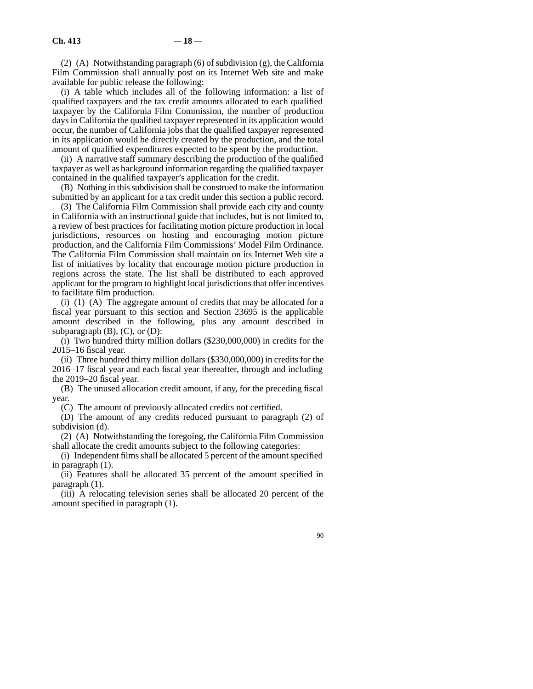(2) (A) Notwithstanding paragraph (6) of subdivision (g), the California Film Commission shall annually post on its Internet Web site and make available for public release the following:

(i) A table which includes all of the following information: a list of qualified taxpayers and the tax credit amounts allocated to each qualified taxpayer by the California Film Commission, the number of production days in California the qualified taxpayer represented in its application would occur, the number of California jobs that the qualified taxpayer represented in its application would be directly created by the production, and the total amount of qualified expenditures expected to be spent by the production.

(ii) A narrative staff summary describing the production of the qualified taxpayer as well as background information regarding the qualified taxpayer contained in the qualified taxpayer's application for the credit.

(B) Nothing in this subdivision shall be construed to make the information submitted by an applicant for a tax credit under this section a public record.

(3) The California Film Commission shall provide each city and county in California with an instructional guide that includes, but is not limited to, a review of best practices for facilitating motion picture production in local jurisdictions, resources on hosting and encouraging motion picture production, and the California Film Commissions' Model Film Ordinance. The California Film Commission shall maintain on its Internet Web site a list of initiatives by locality that encourage motion picture production in regions across the state. The list shall be distributed to each approved applicant for the program to highlight local jurisdictions that offer incentives to facilitate film production.

(i) (1) (A) The aggregate amount of credits that may be allocated for a fiscal year pursuant to this section and Section 23695 is the applicable amount described in the following, plus any amount described in subparagraph  $(B)$ ,  $(C)$ , or  $(D)$ :

(i) Two hundred thirty million dollars (\$230,000,000) in credits for the 2015–16 fiscal year.

(ii) Three hundred thirty million dollars (\$330,000,000) in credits for the 2016–17 fiscal year and each fiscal year thereafter, through and including the 2019–20 fiscal year.

(B) The unused allocation credit amount, if any, for the preceding fiscal year.

(C) The amount of previously allocated credits not certified.

(D) The amount of any credits reduced pursuant to paragraph (2) of subdivision (d).

(2) (A) Notwithstanding the foregoing, the California Film Commission shall allocate the credit amounts subject to the following categories:

(i) Independent films shall be allocated 5 percent of the amount specified in paragraph (1).

(ii) Features shall be allocated 35 percent of the amount specified in paragraph (1).

(iii) A relocating television series shall be allocated 20 percent of the amount specified in paragraph (1).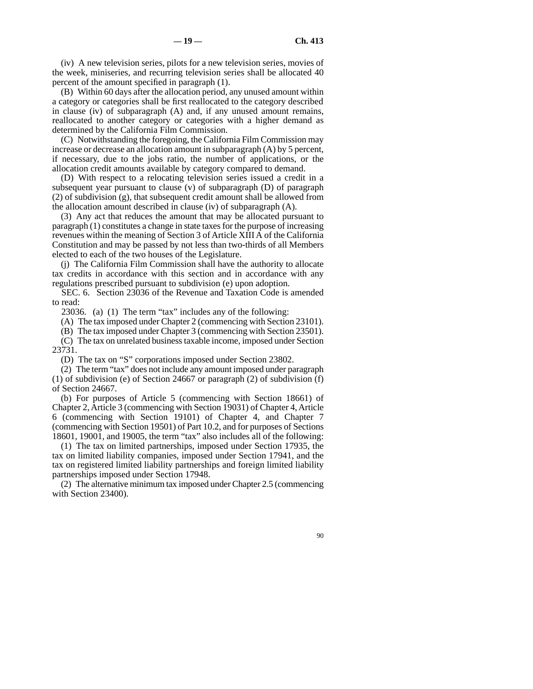(iv) A new television series, pilots for a new television series, movies of the week, miniseries, and recurring television series shall be allocated 40 percent of the amount specified in paragraph (1).

(B) Within 60 days after the allocation period, any unused amount within a category or categories shall be first reallocated to the category described in clause (iv) of subparagraph (A) and, if any unused amount remains, reallocated to another category or categories with a higher demand as determined by the California Film Commission.

(C) Notwithstanding the foregoing, the California Film Commission may increase or decrease an allocation amount in subparagraph (A) by 5 percent, if necessary, due to the jobs ratio, the number of applications, or the allocation credit amounts available by category compared to demand.

(D) With respect to a relocating television series issued a credit in a subsequent year pursuant to clause (v) of subparagraph (D) of paragraph (2) of subdivision (g), that subsequent credit amount shall be allowed from the allocation amount described in clause (iv) of subparagraph (A).

(3) Any act that reduces the amount that may be allocated pursuant to paragraph (1) constitutes a change in state taxes for the purpose of increasing revenues within the meaning of Section 3 of Article XIII A of the California Constitution and may be passed by not less than two-thirds of all Members elected to each of the two houses of the Legislature.

(j) The California Film Commission shall have the authority to allocate tax credits in accordance with this section and in accordance with any regulations prescribed pursuant to subdivision (e) upon adoption.

SEC. 6. Section 23036 of the Revenue and Taxation Code is amended to read:

23036. (a) (1) The term "tax" includes any of the following:

(A) The tax imposed under Chapter 2 (commencing with Section 23101).

(B) The tax imposed under Chapter 3 (commencing with Section 23501).

(C) The tax on unrelated business taxable income, imposed under Section 23731.

(D) The tax on "S" corporations imposed under Section 23802.

(2) The term "tax" does not include any amount imposed under paragraph (1) of subdivision (e) of Section 24667 or paragraph (2) of subdivision (f) of Section 24667.

(b) For purposes of Article 5 (commencing with Section 18661) of Chapter 2, Article 3 (commencing with Section 19031) of Chapter 4, Article 6 (commencing with Section 19101) of Chapter 4, and Chapter 7 (commencing with Section 19501) of Part 10.2, and for purposes of Sections 18601, 19001, and 19005, the term "tax" also includes all of the following:

(1) The tax on limited partnerships, imposed under Section 17935, the tax on limited liability companies, imposed under Section 17941, and the tax on registered limited liability partnerships and foreign limited liability partnerships imposed under Section 17948.

(2) The alternative minimum tax imposed under Chapter 2.5 (commencing with Section 23400).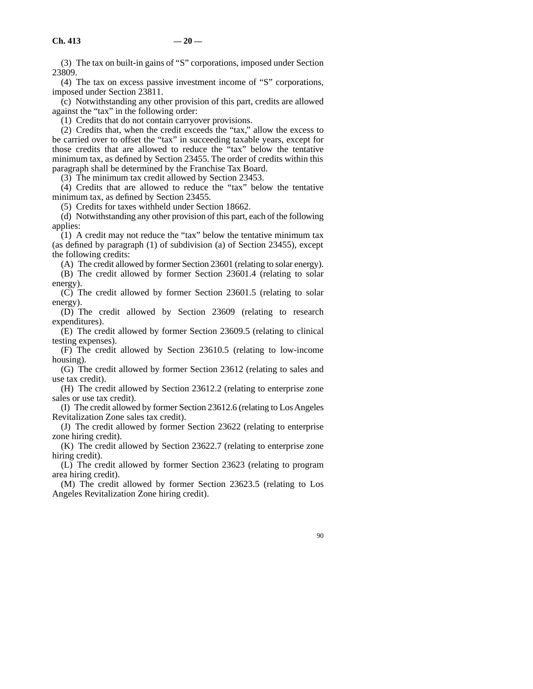(3) The tax on built-in gains of "S" corporations, imposed under Section 23809.

(4) The tax on excess passive investment income of "S" corporations, imposed under Section 23811.

(c) Notwithstanding any other provision of this part, credits are allowed against the "tax" in the following order:

(1) Credits that do not contain carryover provisions.

(2) Credits that, when the credit exceeds the "tax," allow the excess to be carried over to offset the "tax" in succeeding taxable years, except for those credits that are allowed to reduce the "tax" below the tentative minimum tax, as defined by Section 23455. The order of credits within this paragraph shall be determined by the Franchise Tax Board.

(3) The minimum tax credit allowed by Section 23453.

(4) Credits that are allowed to reduce the "tax" below the tentative minimum tax, as defined by Section 23455.

(5) Credits for taxes withheld under Section 18662.

(d) Notwithstanding any other provision of this part, each of the following applies:

 $(1)$  A credit may not reduce the "tax" below the tentative minimum tax (as defined by paragraph (1) of subdivision (a) of Section 23455), except the following credits:

(A) The credit allowed by former Section 23601 (relating to solar energy).

(B) The credit allowed by former Section 23601.4 (relating to solar energy).

(C) The credit allowed by former Section 23601.5 (relating to solar energy).

(D) The credit allowed by Section 23609 (relating to research expenditures).

(E) The credit allowed by former Section 23609.5 (relating to clinical testing expenses).

(F) The credit allowed by Section 23610.5 (relating to low-income housing).

(G) The credit allowed by former Section 23612 (relating to sales and use tax credit).

(H) The credit allowed by Section 23612.2 (relating to enterprise zone sales or use tax credit).

(I) The credit allowed by former Section 23612.6 (relating to Los Angeles Revitalization Zone sales tax credit).

(J) The credit allowed by former Section 23622 (relating to enterprise zone hiring credit).

(K) The credit allowed by Section 23622.7 (relating to enterprise zone hiring credit).

(L) The credit allowed by former Section 23623 (relating to program area hiring credit).

(M) The credit allowed by former Section 23623.5 (relating to Los Angeles Revitalization Zone hiring credit).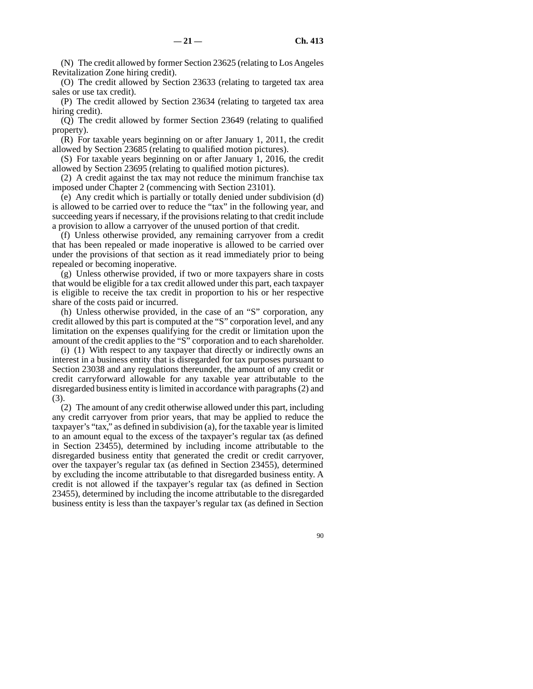(N) The credit allowed by former Section 23625 (relating to Los Angeles Revitalization Zone hiring credit).

(O) The credit allowed by Section 23633 (relating to targeted tax area sales or use tax credit).

(P) The credit allowed by Section 23634 (relating to targeted tax area hiring credit).

(Q) The credit allowed by former Section 23649 (relating to qualified property).

(R) For taxable years beginning on or after January 1, 2011, the credit allowed by Section 23685 (relating to qualified motion pictures).

(S) For taxable years beginning on or after January 1, 2016, the credit allowed by Section 23695 (relating to qualified motion pictures).

(2) A credit against the tax may not reduce the minimum franchise tax imposed under Chapter 2 (commencing with Section 23101).

(e) Any credit which is partially or totally denied under subdivision (d) is allowed to be carried over to reduce the "tax" in the following year, and succeeding years if necessary, if the provisions relating to that credit include a provision to allow a carryover of the unused portion of that credit.

(f) Unless otherwise provided, any remaining carryover from a credit that has been repealed or made inoperative is allowed to be carried over under the provisions of that section as it read immediately prior to being repealed or becoming inoperative.

(g) Unless otherwise provided, if two or more taxpayers share in costs that would be eligible for a tax credit allowed under this part, each taxpayer is eligible to receive the tax credit in proportion to his or her respective share of the costs paid or incurred.

(h) Unless otherwise provided, in the case of an "S" corporation, any credit allowed by this part is computed at the "S" corporation level, and any limitation on the expenses qualifying for the credit or limitation upon the amount of the credit applies to the "S" corporation and to each shareholder.

(i) (1) With respect to any taxpayer that directly or indirectly owns an interest in a business entity that is disregarded for tax purposes pursuant to Section 23038 and any regulations thereunder, the amount of any credit or credit carryforward allowable for any taxable year attributable to the disregarded business entity is limited in accordance with paragraphs (2) and (3).

(2) The amount of any credit otherwise allowed under this part, including any credit carryover from prior years, that may be applied to reduce the taxpayer's "tax," as defined in subdivision (a), for the taxable year is limited to an amount equal to the excess of the taxpayer's regular tax (as defined in Section 23455), determined by including income attributable to the disregarded business entity that generated the credit or credit carryover, over the taxpayer's regular tax (as defined in Section 23455), determined by excluding the income attributable to that disregarded business entity. A credit is not allowed if the taxpayer's regular tax (as defined in Section 23455), determined by including the income attributable to the disregarded business entity is less than the taxpayer's regular tax (as defined in Section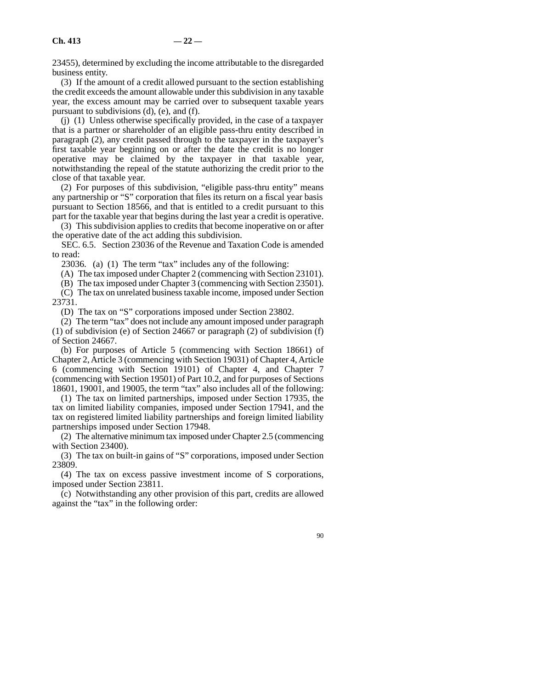23455), determined by excluding the income attributable to the disregarded business entity.

(3) If the amount of a credit allowed pursuant to the section establishing the credit exceeds the amount allowable under this subdivision in any taxable year, the excess amount may be carried over to subsequent taxable years pursuant to subdivisions (d), (e), and (f).

(j) (1) Unless otherwise specifically provided, in the case of a taxpayer that is a partner or shareholder of an eligible pass-thru entity described in paragraph (2), any credit passed through to the taxpayer in the taxpayer's first taxable year beginning on or after the date the credit is no longer operative may be claimed by the taxpayer in that taxable year, notwithstanding the repeal of the statute authorizing the credit prior to the close of that taxable year.

(2) For purposes of this subdivision, "eligible pass-thru entity" means any partnership or "S" corporation that files its return on a fiscal year basis pursuant to Section 18566, and that is entitled to a credit pursuant to this part for the taxable year that begins during the last year a credit is operative.

(3) This subdivision applies to credits that become inoperative on or after the operative date of the act adding this subdivision.

SEC. 6.5. Section 23036 of the Revenue and Taxation Code is amended to read:

23036. (a) (1) The term "tax" includes any of the following:

(A) The tax imposed under Chapter 2 (commencing with Section 23101).

(B) The tax imposed under Chapter 3 (commencing with Section 23501).

(C) The tax on unrelated business taxable income, imposed under Section 23731.

(D) The tax on "S" corporations imposed under Section 23802.

(2) The term "tax" does not include any amount imposed under paragraph (1) of subdivision (e) of Section 24667 or paragraph (2) of subdivision (f) of Section 24667.

(b) For purposes of Article 5 (commencing with Section 18661) of Chapter 2, Article 3 (commencing with Section 19031) of Chapter 4, Article 6 (commencing with Section 19101) of Chapter 4, and Chapter 7 (commencing with Section 19501) of Part 10.2, and for purposes of Sections 18601, 19001, and 19005, the term "tax" also includes all of the following:

(1) The tax on limited partnerships, imposed under Section 17935, the tax on limited liability companies, imposed under Section 17941, and the tax on registered limited liability partnerships and foreign limited liability partnerships imposed under Section 17948.

(2) The alternative minimum tax imposed under Chapter 2.5 (commencing with Section 23400).

(3) The tax on built-in gains of "S" corporations, imposed under Section 23809.

(4) The tax on excess passive investment income of S corporations, imposed under Section 23811.

(c) Notwithstanding any other provision of this part, credits are allowed against the "tax" in the following order: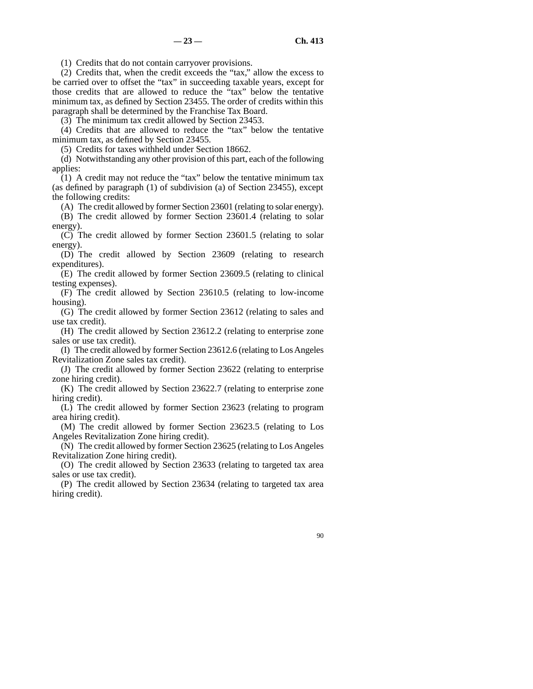(1) Credits that do not contain carryover provisions.

(2) Credits that, when the credit exceeds the "tax," allow the excess to be carried over to offset the "tax" in succeeding taxable years, except for those credits that are allowed to reduce the "tax" below the tentative minimum tax, as defined by Section 23455. The order of credits within this paragraph shall be determined by the Franchise Tax Board.

(3) The minimum tax credit allowed by Section 23453.

(4) Credits that are allowed to reduce the "tax" below the tentative minimum tax, as defined by Section 23455.

(5) Credits for taxes withheld under Section 18662.

(d) Notwithstanding any other provision of this part, each of the following applies:

 $(1)$  A credit may not reduce the "tax" below the tentative minimum tax (as defined by paragraph (1) of subdivision (a) of Section 23455), except the following credits:

(A) The credit allowed by former Section 23601 (relating to solar energy).

(B) The credit allowed by former Section 23601.4 (relating to solar energy).

(C) The credit allowed by former Section 23601.5 (relating to solar energy).

(D) The credit allowed by Section 23609 (relating to research expenditures).

(E) The credit allowed by former Section 23609.5 (relating to clinical testing expenses).

(F) The credit allowed by Section 23610.5 (relating to low-income housing).

(G) The credit allowed by former Section 23612 (relating to sales and use tax credit).

(H) The credit allowed by Section 23612.2 (relating to enterprise zone sales or use tax credit).

(I) The credit allowed by former Section 23612.6 (relating to Los Angeles Revitalization Zone sales tax credit).

(J) The credit allowed by former Section 23622 (relating to enterprise zone hiring credit).

(K) The credit allowed by Section 23622.7 (relating to enterprise zone hiring credit).

(L) The credit allowed by former Section 23623 (relating to program area hiring credit).

(M) The credit allowed by former Section 23623.5 (relating to Los Angeles Revitalization Zone hiring credit).

(N) The credit allowed by former Section 23625 (relating to Los Angeles Revitalization Zone hiring credit).

(O) The credit allowed by Section 23633 (relating to targeted tax area sales or use tax credit).

(P) The credit allowed by Section 23634 (relating to targeted tax area hiring credit).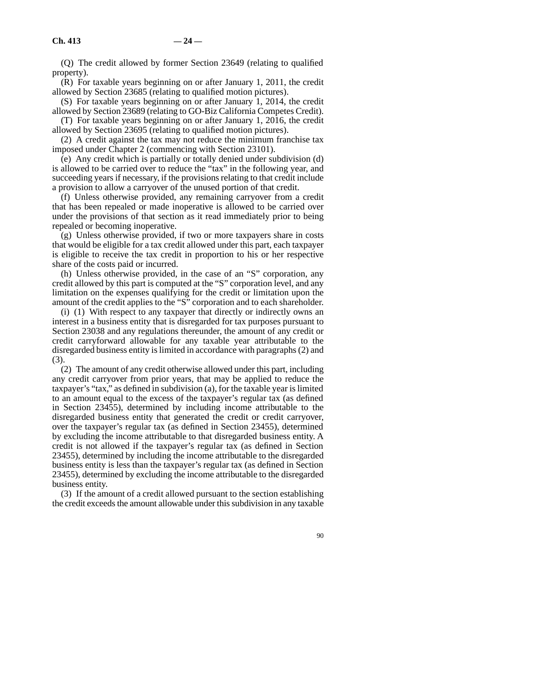(Q) The credit allowed by former Section 23649 (relating to qualified property).

(R) For taxable years beginning on or after January 1, 2011, the credit allowed by Section 23685 (relating to qualified motion pictures).

(S) For taxable years beginning on or after January 1, 2014, the credit allowed by Section 23689 (relating to GO-Biz California Competes Credit). (T) For taxable years beginning on or after January 1, 2016, the credit

allowed by Section 23695 (relating to qualified motion pictures).

(2) A credit against the tax may not reduce the minimum franchise tax imposed under Chapter 2 (commencing with Section 23101).

(e) Any credit which is partially or totally denied under subdivision (d) is allowed to be carried over to reduce the "tax" in the following year, and succeeding years if necessary, if the provisions relating to that credit include a provision to allow a carryover of the unused portion of that credit.

(f) Unless otherwise provided, any remaining carryover from a credit that has been repealed or made inoperative is allowed to be carried over under the provisions of that section as it read immediately prior to being repealed or becoming inoperative.

(g) Unless otherwise provided, if two or more taxpayers share in costs that would be eligible for a tax credit allowed under this part, each taxpayer is eligible to receive the tax credit in proportion to his or her respective share of the costs paid or incurred.

(h) Unless otherwise provided, in the case of an "S" corporation, any credit allowed by this part is computed at the "S" corporation level, and any limitation on the expenses qualifying for the credit or limitation upon the amount of the credit applies to the "S" corporation and to each shareholder.

(i) (1) With respect to any taxpayer that directly or indirectly owns an interest in a business entity that is disregarded for tax purposes pursuant to Section 23038 and any regulations thereunder, the amount of any credit or credit carryforward allowable for any taxable year attributable to the disregarded business entity is limited in accordance with paragraphs (2) and (3).

(2) The amount of any credit otherwise allowed under this part, including any credit carryover from prior years, that may be applied to reduce the taxpayer's "tax," as defined in subdivision (a), for the taxable year is limited to an amount equal to the excess of the taxpayer's regular tax (as defined in Section 23455), determined by including income attributable to the disregarded business entity that generated the credit or credit carryover, over the taxpayer's regular tax (as defined in Section 23455), determined by excluding the income attributable to that disregarded business entity. A credit is not allowed if the taxpayer's regular tax (as defined in Section 23455), determined by including the income attributable to the disregarded business entity is less than the taxpayer's regular tax (as defined in Section 23455), determined by excluding the income attributable to the disregarded business entity.

(3) If the amount of a credit allowed pursuant to the section establishing the credit exceeds the amount allowable under this subdivision in any taxable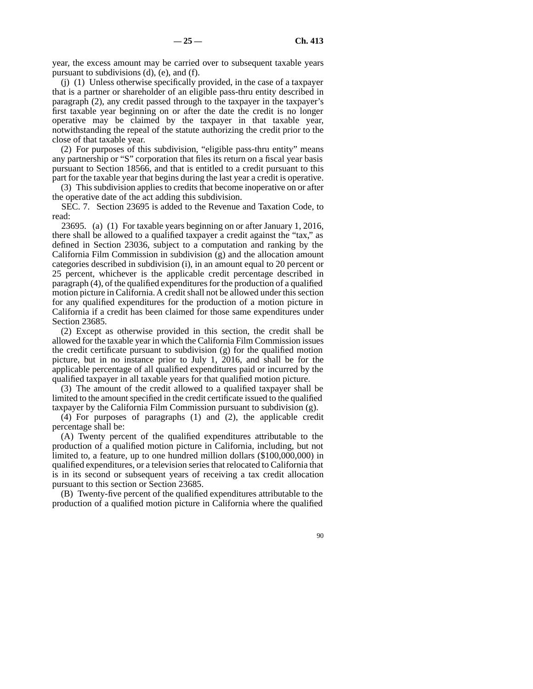year, the excess amount may be carried over to subsequent taxable years pursuant to subdivisions (d), (e), and (f).

(j) (1) Unless otherwise specifically provided, in the case of a taxpayer that is a partner or shareholder of an eligible pass-thru entity described in paragraph (2), any credit passed through to the taxpayer in the taxpayer's first taxable year beginning on or after the date the credit is no longer operative may be claimed by the taxpayer in that taxable year, notwithstanding the repeal of the statute authorizing the credit prior to the close of that taxable year.

(2) For purposes of this subdivision, "eligible pass-thru entity" means any partnership or "S" corporation that files its return on a fiscal year basis pursuant to Section 18566, and that is entitled to a credit pursuant to this part for the taxable year that begins during the last year a credit is operative.

(3) This subdivision applies to credits that become inoperative on or after the operative date of the act adding this subdivision.

SEC. 7. Section 23695 is added to the Revenue and Taxation Code, to read:

23695. (a) (1) For taxable years beginning on or after January 1, 2016, there shall be allowed to a qualified taxpayer a credit against the "tax," as defined in Section 23036, subject to a computation and ranking by the California Film Commission in subdivision (g) and the allocation amount categories described in subdivision (i), in an amount equal to 20 percent or 25 percent, whichever is the applicable credit percentage described in paragraph (4), of the qualified expenditures for the production of a qualified motion picture in California. A credit shall not be allowed under this section for any qualified expenditures for the production of a motion picture in California if a credit has been claimed for those same expenditures under Section 23685.

(2) Except as otherwise provided in this section, the credit shall be allowed for the taxable year in which the California Film Commission issues the credit certificate pursuant to subdivision (g) for the qualified motion picture, but in no instance prior to July 1, 2016, and shall be for the applicable percentage of all qualified expenditures paid or incurred by the qualified taxpayer in all taxable years for that qualified motion picture.

(3) The amount of the credit allowed to a qualified taxpayer shall be limited to the amount specified in the credit certificate issued to the qualified taxpayer by the California Film Commission pursuant to subdivision (g).

(4) For purposes of paragraphs (1) and (2), the applicable credit percentage shall be:

(A) Twenty percent of the qualified expenditures attributable to the production of a qualified motion picture in California, including, but not limited to, a feature, up to one hundred million dollars (\$100,000,000) in qualified expenditures, or a television series that relocated to California that is in its second or subsequent years of receiving a tax credit allocation pursuant to this section or Section 23685.

(B) Twenty-five percent of the qualified expenditures attributable to the production of a qualified motion picture in California where the qualified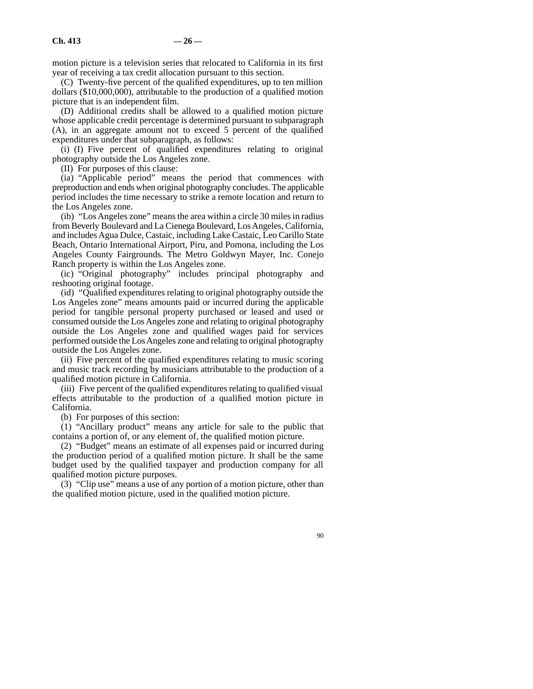motion picture is a television series that relocated to California in its first year of receiving a tax credit allocation pursuant to this section.

(C) Twenty-five percent of the qualified expenditures, up to ten million dollars (\$10,000,000), attributable to the production of a qualified motion picture that is an independent film.

(D) Additional credits shall be allowed to a qualified motion picture whose applicable credit percentage is determined pursuant to subparagraph (A), in an aggregate amount not to exceed 5 percent of the qualified expenditures under that subparagraph, as follows:

(i) (I) Five percent of qualified expenditures relating to original photography outside the Los Angeles zone.

(II) For purposes of this clause:

(ia) "Applicable period" means the period that commences with preproduction and ends when original photography concludes. The applicable period includes the time necessary to strike a remote location and return to the Los Angeles zone.

(ib) "Los Angeles zone" means the area within a circle 30 miles in radius from Beverly Boulevard and La Cienega Boulevard, Los Angeles, California, and includes Agua Dulce, Castaic, including Lake Castaic, Leo Carillo State Beach, Ontario International Airport, Piru, and Pomona, including the Los Angeles County Fairgrounds. The Metro Goldwyn Mayer, Inc. Conejo Ranch property is within the Los Angeles zone.

(ic) "Original photography" includes principal photography and reshooting original footage.

(id) "Qualified expenditures relating to original photography outside the Los Angeles zone" means amounts paid or incurred during the applicable period for tangible personal property purchased or leased and used or consumed outside the Los Angeles zone and relating to original photography outside the Los Angeles zone and qualified wages paid for services performed outside the Los Angeles zone and relating to original photography outside the Los Angeles zone.

(ii) Five percent of the qualified expenditures relating to music scoring and music track recording by musicians attributable to the production of a qualified motion picture in California.

(iii) Five percent of the qualified expenditures relating to qualified visual effects attributable to the production of a qualified motion picture in California.

(b) For purposes of this section:

(1) "Ancillary product" means any article for sale to the public that contains a portion of, or any element of, the qualified motion picture.

(2) "Budget" means an estimate of all expenses paid or incurred during the production period of a qualified motion picture. It shall be the same budget used by the qualified taxpayer and production company for all qualified motion picture purposes.

(3) "Clip use" means a use of any portion of a motion picture, other than the qualified motion picture, used in the qualified motion picture.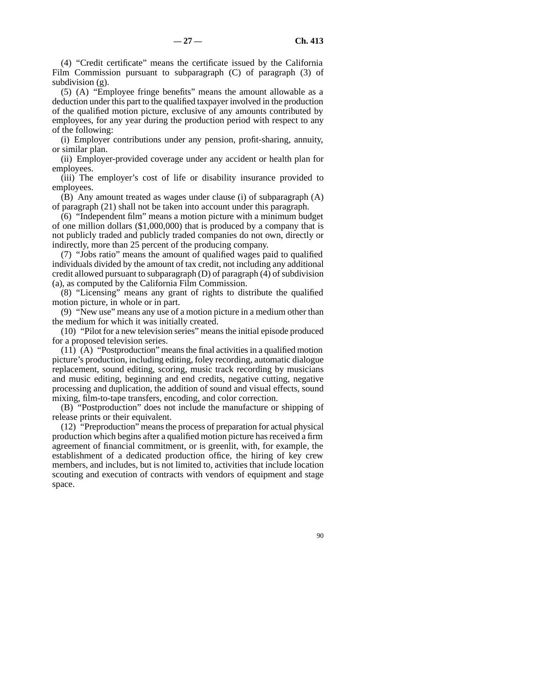(4) "Credit certificate" means the certificate issued by the California Film Commission pursuant to subparagraph (C) of paragraph (3) of subdivision (g).

(5) (A) "Employee fringe benefits" means the amount allowable as a deduction under this part to the qualified taxpayer involved in the production of the qualified motion picture, exclusive of any amounts contributed by employees, for any year during the production period with respect to any of the following:

(i) Employer contributions under any pension, profit-sharing, annuity, or similar plan.

(ii) Employer-provided coverage under any accident or health plan for employees.

(iii) The employer's cost of life or disability insurance provided to employees.

(B) Any amount treated as wages under clause (i) of subparagraph (A) of paragraph (21) shall not be taken into account under this paragraph.

(6) "Independent film" means a motion picture with a minimum budget of one million dollars (\$1,000,000) that is produced by a company that is not publicly traded and publicly traded companies do not own, directly or indirectly, more than 25 percent of the producing company.

(7) "Jobs ratio" means the amount of qualified wages paid to qualified individuals divided by the amount of tax credit, not including any additional credit allowed pursuant to subparagraph (D) of paragraph (4) of subdivision (a), as computed by the California Film Commission.

(8) "Licensing" means any grant of rights to distribute the qualified motion picture, in whole or in part.

(9) "New use" means any use of a motion picture in a medium other than the medium for which it was initially created.

(10) "Pilot for a new television series" means the initial episode produced for a proposed television series.

 $(11)$   $(A)$  "Postproduction" means the final activities in a qualified motion picture's production, including editing, foley recording, automatic dialogue replacement, sound editing, scoring, music track recording by musicians and music editing, beginning and end credits, negative cutting, negative processing and duplication, the addition of sound and visual effects, sound mixing, film-to-tape transfers, encoding, and color correction.

(B) "Postproduction" does not include the manufacture or shipping of release prints or their equivalent.

(12) "Preproduction" means the process of preparation for actual physical production which begins after a qualified motion picture has received a firm agreement of financial commitment, or is greenlit, with, for example, the establishment of a dedicated production office, the hiring of key crew members, and includes, but is not limited to, activities that include location scouting and execution of contracts with vendors of equipment and stage space.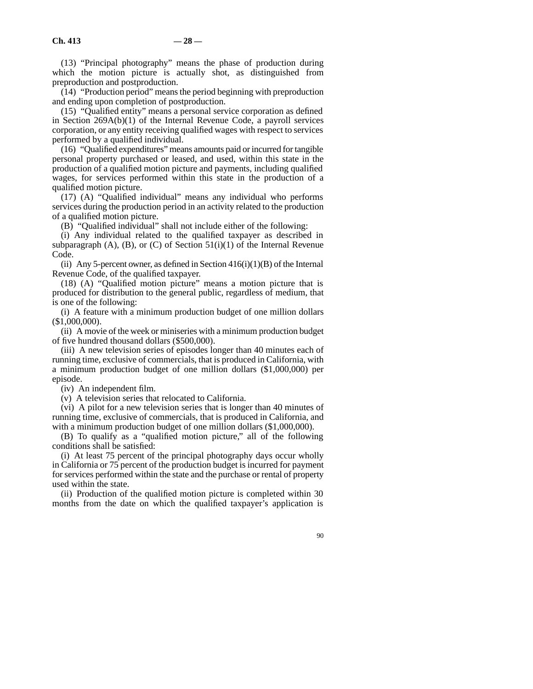(13) "Principal photography" means the phase of production during which the motion picture is actually shot, as distinguished from preproduction and postproduction.

(14) "Production period" means the period beginning with preproduction and ending upon completion of postproduction.

(15) "Qualified entity" means a personal service corporation as defined in Section 269A(b)(1) of the Internal Revenue Code, a payroll services corporation, or any entity receiving qualified wages with respect to services performed by a qualified individual.

(16) "Qualified expenditures" means amounts paid or incurred for tangible personal property purchased or leased, and used, within this state in the production of a qualified motion picture and payments, including qualified wages, for services performed within this state in the production of a qualified motion picture.

(17) (A) "Qualified individual" means any individual who performs services during the production period in an activity related to the production of a qualified motion picture.

(B) "Qualified individual" shall not include either of the following:

(i) Any individual related to the qualified taxpayer as described in subparagraph  $(A)$ ,  $(B)$ , or  $(C)$  of Section 51(i)(1) of the Internal Revenue Code.

(ii) Any 5-percent owner, as defined in Section  $416(i)(1)(B)$  of the Internal Revenue Code, of the qualified taxpayer.

(18) (A) "Qualified motion picture" means a motion picture that is produced for distribution to the general public, regardless of medium, that is one of the following:

(i) A feature with a minimum production budget of one million dollars (\$1,000,000).

(ii) A movie of the week or miniseries with a minimum production budget of five hundred thousand dollars (\$500,000).

(iii) A new television series of episodes longer than 40 minutes each of running time, exclusive of commercials, that is produced in California, with a minimum production budget of one million dollars (\$1,000,000) per episode.

(iv) An independent film.

(v) A television series that relocated to California.

(vi) A pilot for a new television series that is longer than 40 minutes of running time, exclusive of commercials, that is produced in California, and with a minimum production budget of one million dollars  $(\$1,000,000)$ .

(B) To qualify as a "qualified motion picture," all of the following conditions shall be satisfied:

(i) At least 75 percent of the principal photography days occur wholly in California or 75 percent of the production budget is incurred for payment for services performed within the state and the purchase or rental of property used within the state.

(ii) Production of the qualified motion picture is completed within 30 months from the date on which the qualified taxpayer's application is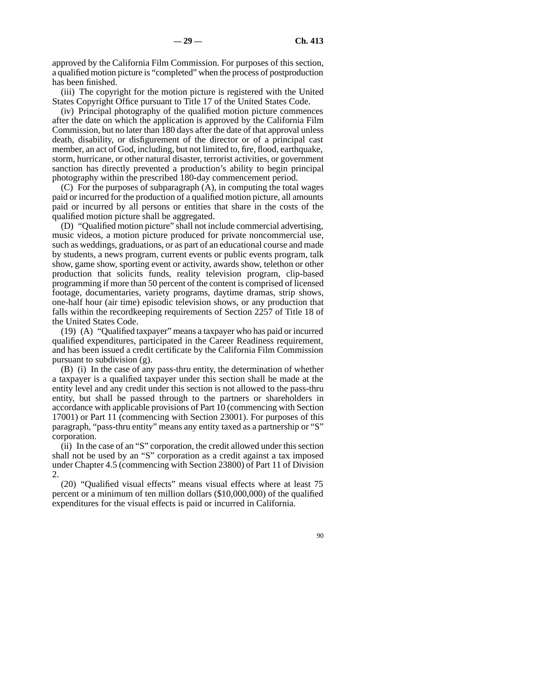approved by the California Film Commission. For purposes of this section, a qualified motion picture is "completed" when the process of postproduction has been finished.

(iii) The copyright for the motion picture is registered with the United States Copyright Office pursuant to Title 17 of the United States Code.

(iv) Principal photography of the qualified motion picture commences after the date on which the application is approved by the California Film Commission, but no later than 180 days after the date of that approval unless death, disability, or disfigurement of the director or of a principal cast member, an act of God, including, but not limited to, fire, flood, earthquake, storm, hurricane, or other natural disaster, terrorist activities, or government sanction has directly prevented a production's ability to begin principal photography within the prescribed 180-day commencement period.

(C) For the purposes of subparagraph (A), in computing the total wages paid or incurred for the production of a qualified motion picture, all amounts paid or incurred by all persons or entities that share in the costs of the qualified motion picture shall be aggregated.

(D) "Qualified motion picture" shall not include commercial advertising, music videos, a motion picture produced for private noncommercial use, such as weddings, graduations, or as part of an educational course and made by students, a news program, current events or public events program, talk show, game show, sporting event or activity, awards show, telethon or other production that solicits funds, reality television program, clip-based programming if more than 50 percent of the content is comprised of licensed footage, documentaries, variety programs, daytime dramas, strip shows, one-half hour (air time) episodic television shows, or any production that falls within the recordkeeping requirements of Section 2257 of Title 18 of the United States Code.

(19) (A) "Qualified taxpayer" means a taxpayer who has paid or incurred qualified expenditures, participated in the Career Readiness requirement, and has been issued a credit certificate by the California Film Commission pursuant to subdivision (g).

(B) (i) In the case of any pass-thru entity, the determination of whether a taxpayer is a qualified taxpayer under this section shall be made at the entity level and any credit under this section is not allowed to the pass-thru entity, but shall be passed through to the partners or shareholders in accordance with applicable provisions of Part 10 (commencing with Section 17001) or Part 11 (commencing with Section 23001). For purposes of this paragraph, "pass-thru entity" means any entity taxed as a partnership or "S" corporation.

(ii) In the case of an "S" corporation, the credit allowed under this section shall not be used by an "S" corporation as a credit against a tax imposed under Chapter 4.5 (commencing with Section 23800) of Part 11 of Division 2.

(20) "Qualified visual effects" means visual effects where at least 75 percent or a minimum of ten million dollars (\$10,000,000) of the qualified expenditures for the visual effects is paid or incurred in California.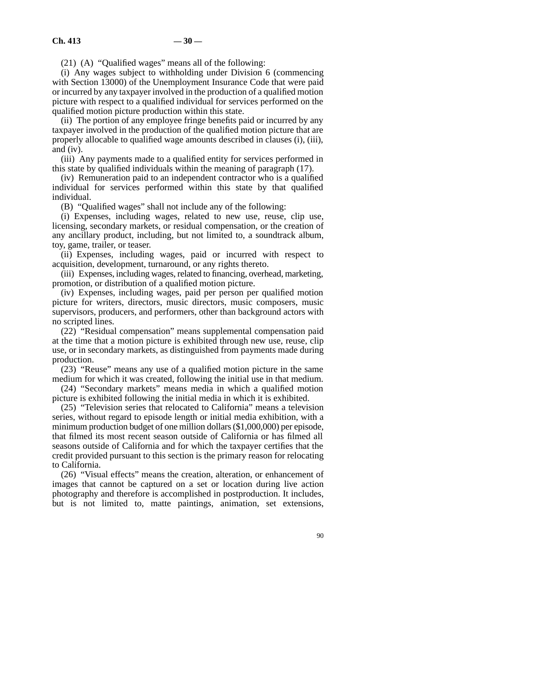(21) (A) "Qualified wages" means all of the following:

(i) Any wages subject to withholding under Division 6 (commencing with Section 13000) of the Unemployment Insurance Code that were paid or incurred by any taxpayer involved in the production of a qualified motion picture with respect to a qualified individual for services performed on the qualified motion picture production within this state.

(ii) The portion of any employee fringe benefits paid or incurred by any taxpayer involved in the production of the qualified motion picture that are properly allocable to qualified wage amounts described in clauses (i), (iii), and (iv).

(iii) Any payments made to a qualified entity for services performed in this state by qualified individuals within the meaning of paragraph (17).

(iv) Remuneration paid to an independent contractor who is a qualified individual for services performed within this state by that qualified individual.

(B) "Qualified wages" shall not include any of the following:

(i) Expenses, including wages, related to new use, reuse, clip use, licensing, secondary markets, or residual compensation, or the creation of any ancillary product, including, but not limited to, a soundtrack album, toy, game, trailer, or teaser.

(ii) Expenses, including wages, paid or incurred with respect to acquisition, development, turnaround, or any rights thereto.

(iii) Expenses, including wages, related to financing, overhead, marketing, promotion, or distribution of a qualified motion picture.

(iv) Expenses, including wages, paid per person per qualified motion picture for writers, directors, music directors, music composers, music supervisors, producers, and performers, other than background actors with no scripted lines.

(22) "Residual compensation" means supplemental compensation paid at the time that a motion picture is exhibited through new use, reuse, clip use, or in secondary markets, as distinguished from payments made during production.

(23) "Reuse" means any use of a qualified motion picture in the same medium for which it was created, following the initial use in that medium.

(24) "Secondary markets" means media in which a qualified motion picture is exhibited following the initial media in which it is exhibited.

(25) "Television series that relocated to California" means a television series, without regard to episode length or initial media exhibition, with a minimum production budget of one million dollars (\$1,000,000) per episode, that filmed its most recent season outside of California or has filmed all seasons outside of California and for which the taxpayer certifies that the credit provided pursuant to this section is the primary reason for relocating to California.

(26) "Visual effects" means the creation, alteration, or enhancement of images that cannot be captured on a set or location during live action photography and therefore is accomplished in postproduction. It includes, but is not limited to, matte paintings, animation, set extensions,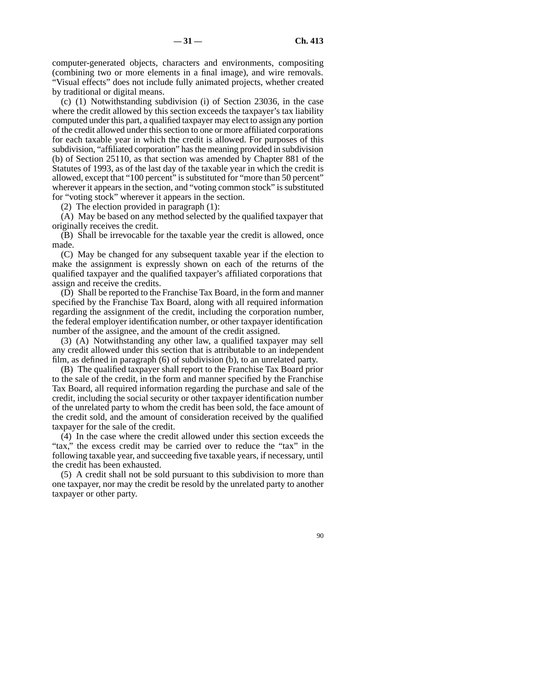computer-generated objects, characters and environments, compositing (combining two or more elements in a final image), and wire removals. "Visual effects" does not include fully animated projects, whether created by traditional or digital means.

(c) (1) Notwithstanding subdivision (i) of Section 23036, in the case where the credit allowed by this section exceeds the taxpayer's tax liability computed under this part, a qualified taxpayer may elect to assign any portion of the credit allowed under this section to one or more affiliated corporations for each taxable year in which the credit is allowed. For purposes of this subdivision, "affiliated corporation" has the meaning provided in subdivision (b) of Section 25110, as that section was amended by Chapter 881 of the Statutes of 1993, as of the last day of the taxable year in which the credit is allowed, except that "100 percent" is substituted for "more than 50 percent" wherever it appears in the section, and "voting common stock" is substituted for "voting stock" wherever it appears in the section.

(2) The election provided in paragraph (1):

(A) May be based on any method selected by the qualified taxpayer that originally receives the credit.

(B) Shall be irrevocable for the taxable year the credit is allowed, once made.

(C) May be changed for any subsequent taxable year if the election to make the assignment is expressly shown on each of the returns of the qualified taxpayer and the qualified taxpayer's affiliated corporations that assign and receive the credits.

(D) Shall be reported to the Franchise Tax Board, in the form and manner specified by the Franchise Tax Board, along with all required information regarding the assignment of the credit, including the corporation number, the federal employer identification number, or other taxpayer identification number of the assignee, and the amount of the credit assigned.

(3) (A) Notwithstanding any other law, a qualified taxpayer may sell any credit allowed under this section that is attributable to an independent film, as defined in paragraph (6) of subdivision (b), to an unrelated party.

(B) The qualified taxpayer shall report to the Franchise Tax Board prior to the sale of the credit, in the form and manner specified by the Franchise Tax Board, all required information regarding the purchase and sale of the credit, including the social security or other taxpayer identification number of the unrelated party to whom the credit has been sold, the face amount of the credit sold, and the amount of consideration received by the qualified taxpayer for the sale of the credit.

(4) In the case where the credit allowed under this section exceeds the "tax," the excess credit may be carried over to reduce the "tax" in the following taxable year, and succeeding five taxable years, if necessary, until the credit has been exhausted.

(5) A credit shall not be sold pursuant to this subdivision to more than one taxpayer, nor may the credit be resold by the unrelated party to another taxpayer or other party.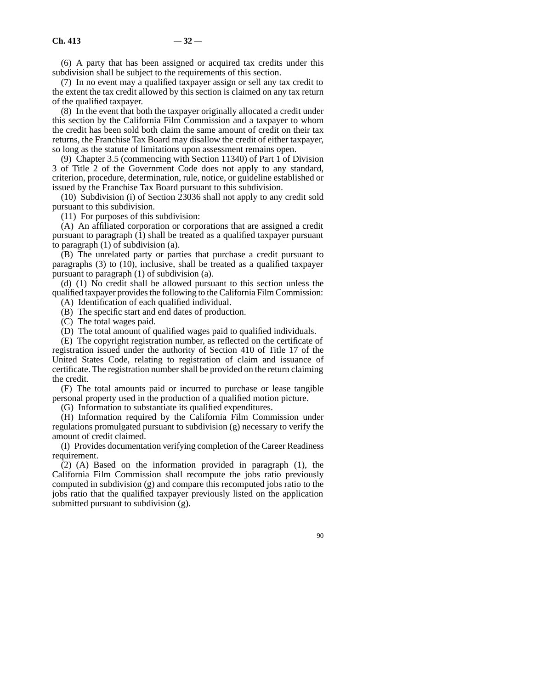(6) A party that has been assigned or acquired tax credits under this subdivision shall be subject to the requirements of this section.

(7) In no event may a qualified taxpayer assign or sell any tax credit to the extent the tax credit allowed by this section is claimed on any tax return of the qualified taxpayer.

(8) In the event that both the taxpayer originally allocated a credit under this section by the California Film Commission and a taxpayer to whom the credit has been sold both claim the same amount of credit on their tax returns, the Franchise Tax Board may disallow the credit of either taxpayer, so long as the statute of limitations upon assessment remains open.

(9) Chapter 3.5 (commencing with Section 11340) of Part 1 of Division 3 of Title 2 of the Government Code does not apply to any standard, criterion, procedure, determination, rule, notice, or guideline established or issued by the Franchise Tax Board pursuant to this subdivision.

(10) Subdivision (i) of Section 23036 shall not apply to any credit sold pursuant to this subdivision.

(11) For purposes of this subdivision:

(A) An affiliated corporation or corporations that are assigned a credit pursuant to paragraph (1) shall be treated as a qualified taxpayer pursuant to paragraph (1) of subdivision (a).

(B) The unrelated party or parties that purchase a credit pursuant to paragraphs (3) to (10), inclusive, shall be treated as a qualified taxpayer pursuant to paragraph (1) of subdivision (a).

(d) (1) No credit shall be allowed pursuant to this section unless the qualified taxpayer provides the following to the California Film Commission:

(A) Identification of each qualified individual.

(B) The specific start and end dates of production.

(C) The total wages paid.

(D) The total amount of qualified wages paid to qualified individuals.

(E) The copyright registration number, as reflected on the certificate of registration issued under the authority of Section 410 of Title 17 of the United States Code, relating to registration of claim and issuance of certificate. The registration number shall be provided on the return claiming the credit.

(F) The total amounts paid or incurred to purchase or lease tangible personal property used in the production of a qualified motion picture.

(G) Information to substantiate its qualified expenditures.

(H) Information required by the California Film Commission under regulations promulgated pursuant to subdivision (g) necessary to verify the amount of credit claimed.

(I) Provides documentation verifying completion of the Career Readiness requirement.

(2) (A) Based on the information provided in paragraph (1), the California Film Commission shall recompute the jobs ratio previously computed in subdivision (g) and compare this recomputed jobs ratio to the jobs ratio that the qualified taxpayer previously listed on the application submitted pursuant to subdivision (g).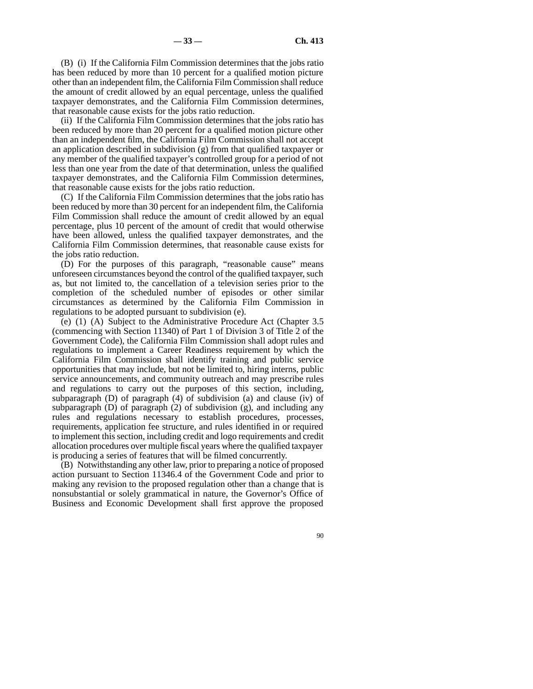(B) (i) If the California Film Commission determines that the jobs ratio has been reduced by more than 10 percent for a qualified motion picture other than an independent film, the California Film Commission shall reduce the amount of credit allowed by an equal percentage, unless the qualified taxpayer demonstrates, and the California Film Commission determines, that reasonable cause exists for the jobs ratio reduction.

(ii) If the California Film Commission determines that the jobs ratio has been reduced by more than 20 percent for a qualified motion picture other than an independent film, the California Film Commission shall not accept an application described in subdivision (g) from that qualified taxpayer or any member of the qualified taxpayer's controlled group for a period of not less than one year from the date of that determination, unless the qualified taxpayer demonstrates, and the California Film Commission determines, that reasonable cause exists for the jobs ratio reduction.

(C) If the California Film Commission determines that the jobs ratio has been reduced by more than 30 percent for an independent film, the California Film Commission shall reduce the amount of credit allowed by an equal percentage, plus 10 percent of the amount of credit that would otherwise have been allowed, unless the qualified taxpayer demonstrates, and the California Film Commission determines, that reasonable cause exists for the jobs ratio reduction.

(D) For the purposes of this paragraph, "reasonable cause" means unforeseen circumstances beyond the control of the qualified taxpayer, such as, but not limited to, the cancellation of a television series prior to the completion of the scheduled number of episodes or other similar circumstances as determined by the California Film Commission in regulations to be adopted pursuant to subdivision (e).

(e) (1) (A) Subject to the Administrative Procedure Act (Chapter 3.5 (commencing with Section 11340) of Part 1 of Division 3 of Title 2 of the Government Code), the California Film Commission shall adopt rules and regulations to implement a Career Readiness requirement by which the California Film Commission shall identify training and public service opportunities that may include, but not be limited to, hiring interns, public service announcements, and community outreach and may prescribe rules and regulations to carry out the purposes of this section, including, subparagraph (D) of paragraph (4) of subdivision (a) and clause (iv) of subparagraph  $(D)$  of paragraph  $(2)$  of subdivision  $(g)$ , and including any rules and regulations necessary to establish procedures, processes, requirements, application fee structure, and rules identified in or required to implement this section, including credit and logo requirements and credit allocation procedures over multiple fiscal years where the qualified taxpayer is producing a series of features that will be filmed concurrently.

(B) Notwithstanding any other law, prior to preparing a notice of proposed action pursuant to Section 11346.4 of the Government Code and prior to making any revision to the proposed regulation other than a change that is nonsubstantial or solely grammatical in nature, the Governor's Office of Business and Economic Development shall first approve the proposed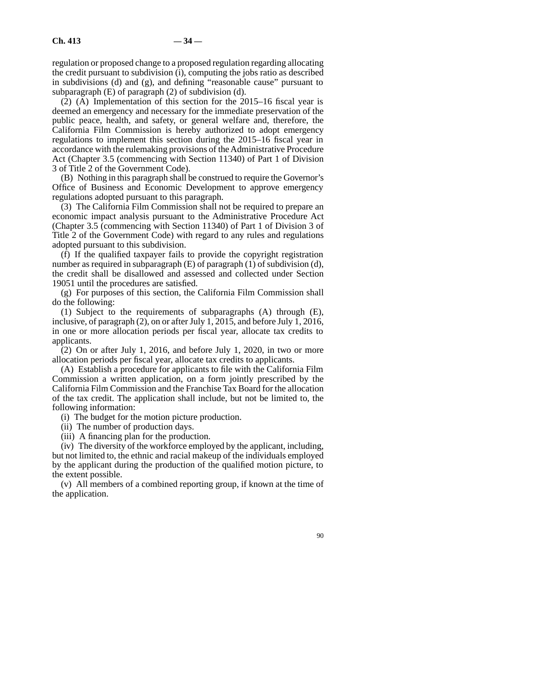regulation or proposed change to a proposed regulation regarding allocating the credit pursuant to subdivision (i), computing the jobs ratio as described in subdivisions (d) and (g), and defining "reasonable cause" pursuant to subparagraph (E) of paragraph (2) of subdivision (d).

(2) (A) Implementation of this section for the 2015–16 fiscal year is deemed an emergency and necessary for the immediate preservation of the public peace, health, and safety, or general welfare and, therefore, the California Film Commission is hereby authorized to adopt emergency regulations to implement this section during the 2015–16 fiscal year in accordance with the rulemaking provisions of the Administrative Procedure Act (Chapter 3.5 (commencing with Section 11340) of Part 1 of Division 3 of Title 2 of the Government Code).

(B) Nothing in this paragraph shall be construed to require the Governor's Office of Business and Economic Development to approve emergency regulations adopted pursuant to this paragraph.

(3) The California Film Commission shall not be required to prepare an economic impact analysis pursuant to the Administrative Procedure Act (Chapter 3.5 (commencing with Section 11340) of Part 1 of Division 3 of Title 2 of the Government Code) with regard to any rules and regulations adopted pursuant to this subdivision.

(f) If the qualified taxpayer fails to provide the copyright registration number as required in subparagraph (E) of paragraph (1) of subdivision (d), the credit shall be disallowed and assessed and collected under Section 19051 until the procedures are satisfied.

(g) For purposes of this section, the California Film Commission shall do the following:

(1) Subject to the requirements of subparagraphs (A) through (E), inclusive, of paragraph (2), on or after July 1, 2015, and before July 1, 2016, in one or more allocation periods per fiscal year, allocate tax credits to applicants.

(2) On or after July 1, 2016, and before July 1, 2020, in two or more allocation periods per fiscal year, allocate tax credits to applicants.

(A) Establish a procedure for applicants to file with the California Film Commission a written application, on a form jointly prescribed by the California Film Commission and the Franchise Tax Board for the allocation of the tax credit. The application shall include, but not be limited to, the following information:

(i) The budget for the motion picture production.

(ii) The number of production days.

(iii) A financing plan for the production.

(iv) The diversity of the workforce employed by the applicant, including, but not limited to, the ethnic and racial makeup of the individuals employed by the applicant during the production of the qualified motion picture, to the extent possible.

(v) All members of a combined reporting group, if known at the time of the application.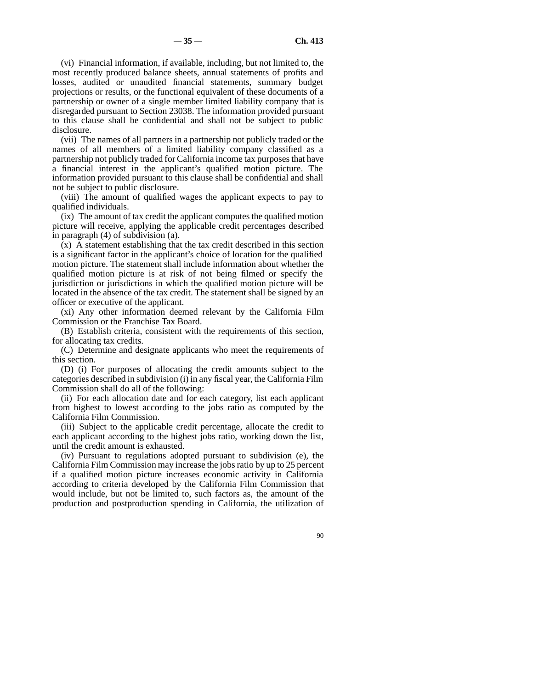(vi) Financial information, if available, including, but not limited to, the most recently produced balance sheets, annual statements of profits and losses, audited or unaudited financial statements, summary budget projections or results, or the functional equivalent of these documents of a partnership or owner of a single member limited liability company that is disregarded pursuant to Section 23038. The information provided pursuant to this clause shall be confidential and shall not be subject to public disclosure.

(vii) The names of all partners in a partnership not publicly traded or the names of all members of a limited liability company classified as a partnership not publicly traded for California income tax purposes that have a financial interest in the applicant's qualified motion picture. The information provided pursuant to this clause shall be confidential and shall not be subject to public disclosure.

(viii) The amount of qualified wages the applicant expects to pay to qualified individuals.

(ix) The amount of tax credit the applicant computes the qualified motion picture will receive, applying the applicable credit percentages described in paragraph (4) of subdivision (a).

(x) A statement establishing that the tax credit described in this section is a significant factor in the applicant's choice of location for the qualified motion picture. The statement shall include information about whether the qualified motion picture is at risk of not being filmed or specify the jurisdiction or jurisdictions in which the qualified motion picture will be located in the absence of the tax credit. The statement shall be signed by an officer or executive of the applicant.

(xi) Any other information deemed relevant by the California Film Commission or the Franchise Tax Board.

(B) Establish criteria, consistent with the requirements of this section, for allocating tax credits.

(C) Determine and designate applicants who meet the requirements of this section.

(D) (i) For purposes of allocating the credit amounts subject to the categories described in subdivision (i) in any fiscal year, the California Film Commission shall do all of the following:

(ii) For each allocation date and for each category, list each applicant from highest to lowest according to the jobs ratio as computed by the California Film Commission.

(iii) Subject to the applicable credit percentage, allocate the credit to each applicant according to the highest jobs ratio, working down the list, until the credit amount is exhausted.

(iv) Pursuant to regulations adopted pursuant to subdivision (e), the California Film Commission may increase the jobs ratio by up to 25 percent if a qualified motion picture increases economic activity in California according to criteria developed by the California Film Commission that would include, but not be limited to, such factors as, the amount of the production and postproduction spending in California, the utilization of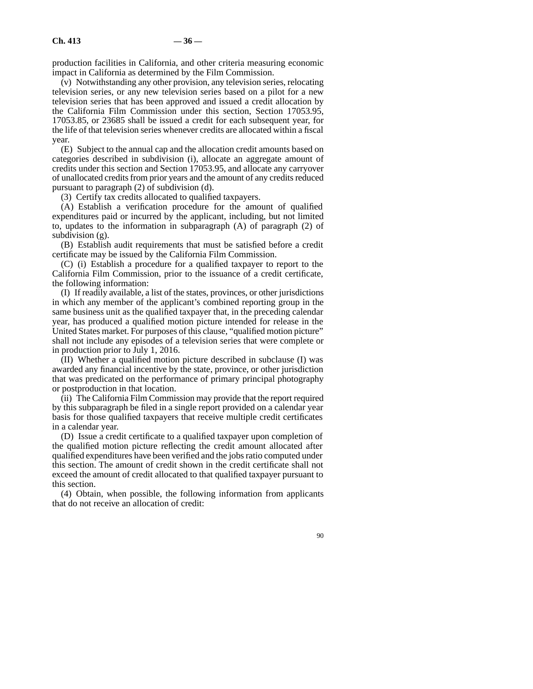production facilities in California, and other criteria measuring economic impact in California as determined by the Film Commission.

(v) Notwithstanding any other provision, any television series, relocating television series, or any new television series based on a pilot for a new television series that has been approved and issued a credit allocation by the California Film Commission under this section, Section 17053.95, 17053.85, or 23685 shall be issued a credit for each subsequent year, for the life of that television series whenever credits are allocated within a fiscal year.

(E) Subject to the annual cap and the allocation credit amounts based on categories described in subdivision (i), allocate an aggregate amount of credits under this section and Section 17053.95, and allocate any carryover of unallocated credits from prior years and the amount of any credits reduced pursuant to paragraph (2) of subdivision (d).

(3) Certify tax credits allocated to qualified taxpayers.

(A) Establish a verification procedure for the amount of qualified expenditures paid or incurred by the applicant, including, but not limited to, updates to the information in subparagraph (A) of paragraph (2) of subdivision (g).

(B) Establish audit requirements that must be satisfied before a credit certificate may be issued by the California Film Commission.

(C) (i) Establish a procedure for a qualified taxpayer to report to the California Film Commission, prior to the issuance of a credit certificate, the following information:

(I) If readily available, a list of the states, provinces, or other jurisdictions in which any member of the applicant's combined reporting group in the same business unit as the qualified taxpayer that, in the preceding calendar year, has produced a qualified motion picture intended for release in the United States market. For purposes of this clause, "qualified motion picture" shall not include any episodes of a television series that were complete or in production prior to July 1, 2016.

(II) Whether a qualified motion picture described in subclause (I) was awarded any financial incentive by the state, province, or other jurisdiction that was predicated on the performance of primary principal photography or postproduction in that location.

(ii) The California Film Commission may provide that the report required by this subparagraph be filed in a single report provided on a calendar year basis for those qualified taxpayers that receive multiple credit certificates in a calendar year.

(D) Issue a credit certificate to a qualified taxpayer upon completion of the qualified motion picture reflecting the credit amount allocated after qualified expenditures have been verified and the jobs ratio computed under this section. The amount of credit shown in the credit certificate shall not exceed the amount of credit allocated to that qualified taxpayer pursuant to this section.

(4) Obtain, when possible, the following information from applicants that do not receive an allocation of credit: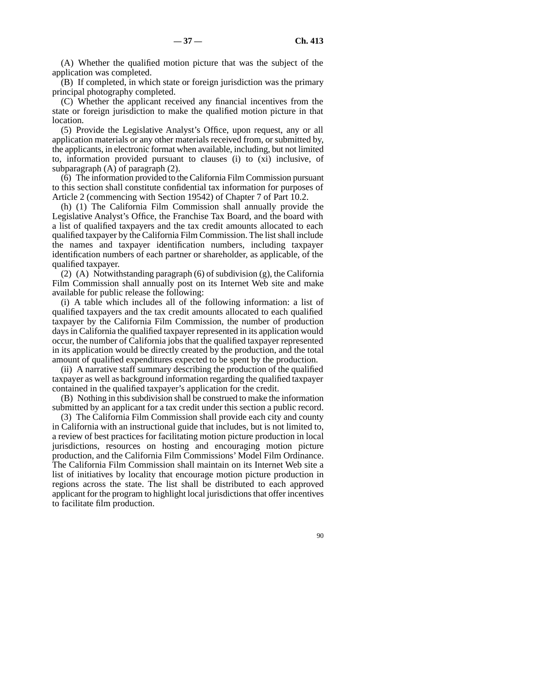(A) Whether the qualified motion picture that was the subject of the application was completed.

(B) If completed, in which state or foreign jurisdiction was the primary principal photography completed.

(C) Whether the applicant received any financial incentives from the state or foreign jurisdiction to make the qualified motion picture in that location.

(5) Provide the Legislative Analyst's Office, upon request, any or all application materials or any other materials received from, or submitted by, the applicants, in electronic format when available, including, but not limited to, information provided pursuant to clauses (i) to (xi) inclusive, of subparagraph (A) of paragraph (2).

(6) The information provided to the California Film Commission pursuant to this section shall constitute confidential tax information for purposes of Article 2 (commencing with Section 19542) of Chapter 7 of Part 10.2.

(h) (1) The California Film Commission shall annually provide the Legislative Analyst's Office, the Franchise Tax Board, and the board with a list of qualified taxpayers and the tax credit amounts allocated to each qualified taxpayer by the California Film Commission. The list shall include the names and taxpayer identification numbers, including taxpayer identification numbers of each partner or shareholder, as applicable, of the qualified taxpayer.

(2) (A) Notwithstanding paragraph (6) of subdivision (g), the California Film Commission shall annually post on its Internet Web site and make available for public release the following:

(i) A table which includes all of the following information: a list of qualified taxpayers and the tax credit amounts allocated to each qualified taxpayer by the California Film Commission, the number of production days in California the qualified taxpayer represented in its application would occur, the number of California jobs that the qualified taxpayer represented in its application would be directly created by the production, and the total amount of qualified expenditures expected to be spent by the production.

(ii) A narrative staff summary describing the production of the qualified taxpayer as well as background information regarding the qualified taxpayer contained in the qualified taxpayer's application for the credit.

(B) Nothing in this subdivision shall be construed to make the information submitted by an applicant for a tax credit under this section a public record.

(3) The California Film Commission shall provide each city and county in California with an instructional guide that includes, but is not limited to, a review of best practices for facilitating motion picture production in local jurisdictions, resources on hosting and encouraging motion picture production, and the California Film Commissions' Model Film Ordinance. The California Film Commission shall maintain on its Internet Web site a list of initiatives by locality that encourage motion picture production in regions across the state. The list shall be distributed to each approved applicant for the program to highlight local jurisdictions that offer incentives to facilitate film production.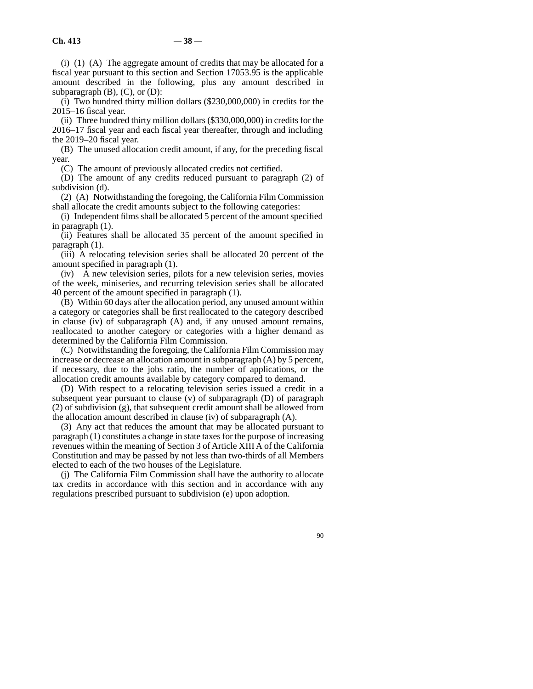(i) (1) (A) The aggregate amount of credits that may be allocated for a fiscal year pursuant to this section and Section 17053.95 is the applicable amount described in the following, plus any amount described in subparagraph  $(B)$ ,  $(C)$ , or  $(D)$ :

(i) Two hundred thirty million dollars (\$230,000,000) in credits for the 2015–16 fiscal year.

(ii) Three hundred thirty million dollars (\$330,000,000) in credits for the 2016–17 fiscal year and each fiscal year thereafter, through and including the 2019–20 fiscal year.

(B) The unused allocation credit amount, if any, for the preceding fiscal year.

(C) The amount of previously allocated credits not certified.

(D) The amount of any credits reduced pursuant to paragraph (2) of subdivision (d).

(2) (A) Notwithstanding the foregoing, the California Film Commission shall allocate the credit amounts subject to the following categories:

(i) Independent films shall be allocated 5 percent of the amount specified in paragraph (1).

(ii) Features shall be allocated 35 percent of the amount specified in paragraph (1).

(iii) A relocating television series shall be allocated 20 percent of the amount specified in paragraph (1).

(iv) A new television series, pilots for a new television series, movies of the week, miniseries, and recurring television series shall be allocated 40 percent of the amount specified in paragraph (1).

(B) Within 60 days after the allocation period, any unused amount within a category or categories shall be first reallocated to the category described in clause (iv) of subparagraph (A) and, if any unused amount remains, reallocated to another category or categories with a higher demand as determined by the California Film Commission.

(C) Notwithstanding the foregoing, the California Film Commission may increase or decrease an allocation amount in subparagraph (A) by 5 percent, if necessary, due to the jobs ratio, the number of applications, or the allocation credit amounts available by category compared to demand.

(D) With respect to a relocating television series issued a credit in a subsequent year pursuant to clause (v) of subparagraph (D) of paragraph (2) of subdivision (g), that subsequent credit amount shall be allowed from the allocation amount described in clause (iv) of subparagraph (A).

(3) Any act that reduces the amount that may be allocated pursuant to paragraph (1) constitutes a change in state taxes for the purpose of increasing revenues within the meaning of Section 3 of Article XIII A of the California Constitution and may be passed by not less than two-thirds of all Members elected to each of the two houses of the Legislature.

(j) The California Film Commission shall have the authority to allocate tax credits in accordance with this section and in accordance with any regulations prescribed pursuant to subdivision (e) upon adoption.